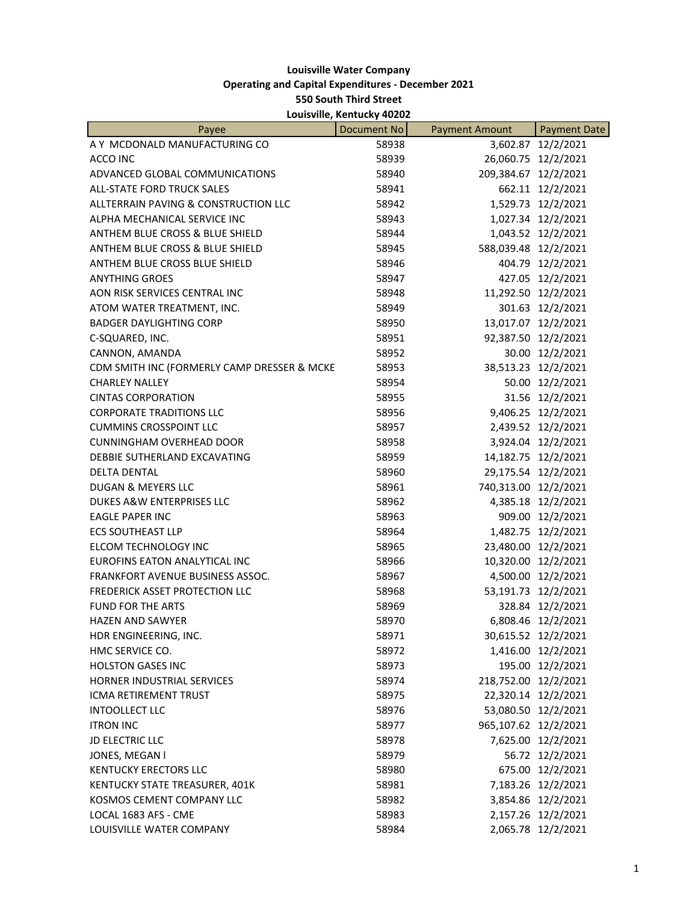## **Louisville Water Company Operating and Capital Expenditures - December 2021 550 South Third Street Louisville, Kentucky 40202**

| Payee                                       | <b>Document No</b> | <b>Payment Amount</b> | <b>Payment Date</b> |
|---------------------------------------------|--------------------|-----------------------|---------------------|
| A Y MCDONALD MANUFACTURING CO               | 58938              |                       | 3,602.87 12/2/2021  |
| ACCO INC                                    | 58939              |                       | 26,060.75 12/2/2021 |
| ADVANCED GLOBAL COMMUNICATIONS              | 58940              | 209,384.67 12/2/2021  |                     |
| ALL-STATE FORD TRUCK SALES                  | 58941              |                       | 662.11 12/2/2021    |
| ALLTERRAIN PAVING & CONSTRUCTION LLC        | 58942              |                       | 1,529.73 12/2/2021  |
| ALPHA MECHANICAL SERVICE INC                | 58943              |                       | 1,027.34 12/2/2021  |
| ANTHEM BLUE CROSS & BLUE SHIELD             | 58944              |                       | 1,043.52 12/2/2021  |
| ANTHEM BLUE CROSS & BLUE SHIELD             | 58945              | 588,039.48 12/2/2021  |                     |
| ANTHEM BLUE CROSS BLUE SHIELD               | 58946              |                       | 404.79 12/2/2021    |
| <b>ANYTHING GROES</b>                       | 58947              |                       | 427.05 12/2/2021    |
| AON RISK SERVICES CENTRAL INC               | 58948              |                       | 11,292.50 12/2/2021 |
| ATOM WATER TREATMENT, INC.                  | 58949              |                       | 301.63 12/2/2021    |
| <b>BADGER DAYLIGHTING CORP</b>              | 58950              |                       | 13,017.07 12/2/2021 |
| C-SQUARED, INC.                             | 58951              |                       | 92,387.50 12/2/2021 |
| CANNON, AMANDA                              | 58952              |                       | 30.00 12/2/2021     |
| CDM SMITH INC (FORMERLY CAMP DRESSER & MCKE | 58953              | 38,513.23             | 12/2/2021           |
| <b>CHARLEY NALLEY</b>                       | 58954              |                       | 50.00 12/2/2021     |
| <b>CINTAS CORPORATION</b>                   | 58955              |                       | 31.56 12/2/2021     |
| <b>CORPORATE TRADITIONS LLC</b>             | 58956              |                       | 9,406.25 12/2/2021  |
| <b>CUMMINS CROSSPOINT LLC</b>               | 58957              |                       | 2,439.52 12/2/2021  |
| <b>CUNNINGHAM OVERHEAD DOOR</b>             | 58958              |                       | 3,924.04 12/2/2021  |
| DEBBIE SUTHERLAND EXCAVATING                | 58959              |                       | 14,182.75 12/2/2021 |
| <b>DELTA DENTAL</b>                         | 58960              |                       | 29,175.54 12/2/2021 |
| <b>DUGAN &amp; MEYERS LLC</b>               | 58961              | 740,313.00 12/2/2021  |                     |
| DUKES A&W ENTERPRISES LLC                   | 58962              |                       | 4,385.18 12/2/2021  |
| <b>EAGLE PAPER INC</b>                      | 58963              |                       | 909.00 12/2/2021    |
| <b>ECS SOUTHEAST LLP</b>                    | 58964              | 1,482.75              | 12/2/2021           |
| ELCOM TECHNOLOGY INC                        | 58965              |                       | 23,480.00 12/2/2021 |
| EUROFINS EATON ANALYTICAL INC               | 58966              |                       | 10,320.00 12/2/2021 |
| <b>FRANKFORT AVENUE BUSINESS ASSOC.</b>     | 58967              |                       | 4,500.00 12/2/2021  |
| FREDERICK ASSET PROTECTION LLC              | 58968              |                       | 53,191.73 12/2/2021 |
| <b>FUND FOR THE ARTS</b>                    | 58969              |                       | 328.84 12/2/2021    |
| <b>HAZEN AND SAWYER</b>                     | 58970              |                       | 6,808.46 12/2/2021  |
| HDR ENGINEERING, INC.                       | 58971              |                       | 30,615.52 12/2/2021 |
| HMC SERVICE CO.                             | 58972              |                       | 1,416.00 12/2/2021  |
| <b>HOLSTON GASES INC</b>                    | 58973              |                       | 195.00 12/2/2021    |
| HORNER INDUSTRIAL SERVICES                  | 58974              | 218,752.00 12/2/2021  |                     |
| <b>ICMA RETIREMENT TRUST</b>                | 58975              |                       | 22,320.14 12/2/2021 |
| <b>INTOOLLECT LLC</b>                       | 58976              |                       | 53,080.50 12/2/2021 |
| <b>ITRON INC</b>                            | 58977              | 965,107.62 12/2/2021  |                     |
| <b>JD ELECTRIC LLC</b>                      | 58978              |                       | 7,625.00 12/2/2021  |
| JONES, MEGAN I                              | 58979              |                       | 56.72 12/2/2021     |
| <b>KENTUCKY ERECTORS LLC</b>                | 58980              |                       | 675.00 12/2/2021    |
| KENTUCKY STATE TREASURER, 401K              | 58981              |                       | 7,183.26 12/2/2021  |
| KOSMOS CEMENT COMPANY LLC                   | 58982              |                       | 3,854.86 12/2/2021  |
| LOCAL 1683 AFS - CME                        | 58983              |                       | 2,157.26 12/2/2021  |
| LOUISVILLE WATER COMPANY                    | 58984              |                       | 2,065.78 12/2/2021  |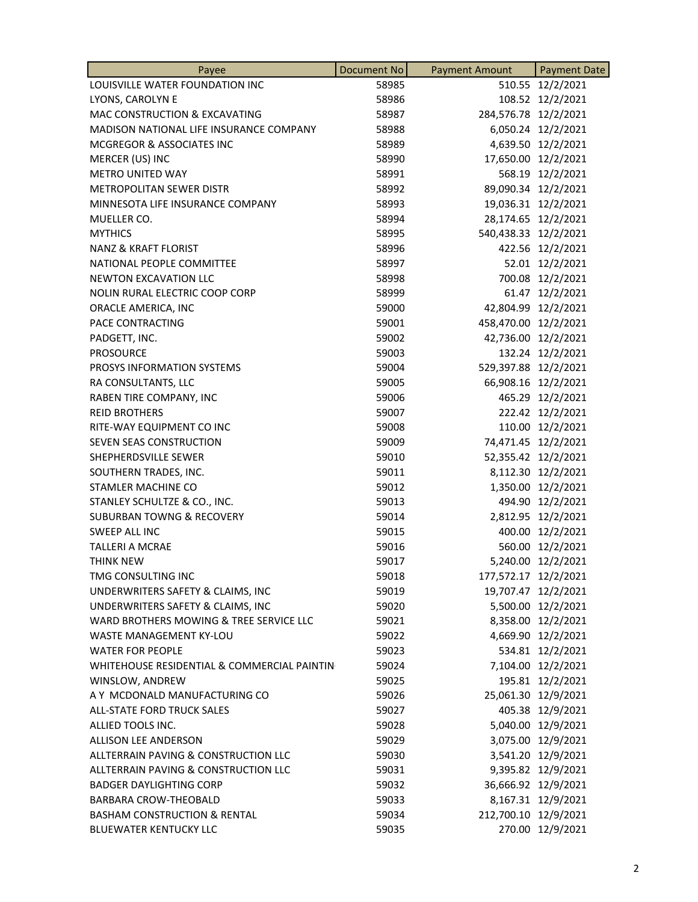| Payee                                       | <b>Document No</b> | <b>Payment Amount</b> | <b>Payment Date</b> |
|---------------------------------------------|--------------------|-----------------------|---------------------|
| LOUISVILLE WATER FOUNDATION INC             | 58985              |                       | 510.55 12/2/2021    |
| LYONS, CAROLYN E                            | 58986              |                       | 108.52 12/2/2021    |
| MAC CONSTRUCTION & EXCAVATING               | 58987              | 284,576.78 12/2/2021  |                     |
| MADISON NATIONAL LIFE INSURANCE COMPANY     | 58988              |                       | 6,050.24 12/2/2021  |
| MCGREGOR & ASSOCIATES INC                   | 58989              |                       | 4,639.50 12/2/2021  |
| MERCER (US) INC                             | 58990              | 17,650.00             | 12/2/2021           |
| <b>METRO UNITED WAY</b>                     | 58991              | 568.19                | 12/2/2021           |
| METROPOLITAN SEWER DISTR                    | 58992              |                       | 89,090.34 12/2/2021 |
| MINNESOTA LIFE INSURANCE COMPANY            | 58993              |                       | 19,036.31 12/2/2021 |
| MUELLER CO.                                 | 58994              |                       | 28,174.65 12/2/2021 |
| <b>MYTHICS</b>                              | 58995              | 540,438.33 12/2/2021  |                     |
| <b>NANZ &amp; KRAFT FLORIST</b>             | 58996              |                       | 422.56 12/2/2021    |
| NATIONAL PEOPLE COMMITTEE                   | 58997              |                       | 52.01 12/2/2021     |
| <b>NEWTON EXCAVATION LLC</b>                | 58998              |                       | 700.08 12/2/2021    |
| NOLIN RURAL ELECTRIC COOP CORP              | 58999              |                       | 61.47 12/2/2021     |
| ORACLE AMERICA, INC                         | 59000              |                       | 42,804.99 12/2/2021 |
| PACE CONTRACTING                            | 59001              | 458,470.00 12/2/2021  |                     |
| PADGETT, INC.                               | 59002              | 42,736.00             | 12/2/2021           |
| <b>PROSOURCE</b>                            | 59003              |                       | 132.24 12/2/2021    |
| PROSYS INFORMATION SYSTEMS                  | 59004              | 529,397.88 12/2/2021  |                     |
| RA CONSULTANTS, LLC                         | 59005              |                       | 66,908.16 12/2/2021 |
| RABEN TIRE COMPANY, INC                     | 59006              |                       | 465.29 12/2/2021    |
| <b>REID BROTHERS</b>                        | 59007              |                       | 222.42 12/2/2021    |
| RITE-WAY EQUIPMENT CO INC                   | 59008              |                       | 110.00 12/2/2021    |
| SEVEN SEAS CONSTRUCTION                     | 59009              |                       | 74,471.45 12/2/2021 |
| SHEPHERDSVILLE SEWER                        | 59010              |                       | 52,355.42 12/2/2021 |
| SOUTHERN TRADES, INC.                       | 59011              |                       | 8,112.30 12/2/2021  |
| STAMLER MACHINE CO                          | 59012              | 1,350.00              | 12/2/2021           |
| STANLEY SCHULTZE & CO., INC.                | 59013              | 494.90                | 12/2/2021           |
| <b>SUBURBAN TOWNG &amp; RECOVERY</b>        | 59014              |                       | 2,812.95 12/2/2021  |
| SWEEP ALL INC                               | 59015              |                       | 400.00 12/2/2021    |
| TALLERI A MCRAE                             | 59016              |                       | 560.00 12/2/2021    |
| THINK NEW                                   | 59017              |                       | 5,240.00 12/2/2021  |
| TMG CONSULTING INC                          | 59018              | 177,572.17 12/2/2021  |                     |
| UNDERWRITERS SAFETY & CLAIMS, INC           | 59019              |                       | 19,707.47 12/2/2021 |
| UNDERWRITERS SAFETY & CLAIMS, INC           | 59020              |                       | 5,500.00 12/2/2021  |
| WARD BROTHERS MOWING & TREE SERVICE LLC     | 59021              |                       | 8,358.00 12/2/2021  |
| <b>WASTE MANAGEMENT KY-LOU</b>              | 59022              |                       | 4,669.90 12/2/2021  |
| <b>WATER FOR PEOPLE</b>                     | 59023              |                       | 534.81 12/2/2021    |
| WHITEHOUSE RESIDENTIAL & COMMERCIAL PAINTIN | 59024              |                       | 7,104.00 12/2/2021  |
| WINSLOW, ANDREW                             | 59025              |                       | 195.81 12/2/2021    |
| A Y MCDONALD MANUFACTURING CO               | 59026              |                       | 25,061.30 12/9/2021 |
| ALL-STATE FORD TRUCK SALES                  | 59027              |                       | 405.38 12/9/2021    |
| ALLIED TOOLS INC.                           | 59028              |                       | 5,040.00 12/9/2021  |
| <b>ALLISON LEE ANDERSON</b>                 | 59029              |                       | 3,075.00 12/9/2021  |
| ALLTERRAIN PAVING & CONSTRUCTION LLC        | 59030              |                       | 3,541.20 12/9/2021  |
| ALLTERRAIN PAVING & CONSTRUCTION LLC        | 59031              |                       | 9,395.82 12/9/2021  |
| <b>BADGER DAYLIGHTING CORP</b>              | 59032              |                       | 36,666.92 12/9/2021 |
| <b>BARBARA CROW-THEOBALD</b>                | 59033              |                       | 8,167.31 12/9/2021  |
| <b>BASHAM CONSTRUCTION &amp; RENTAL</b>     | 59034              | 212,700.10 12/9/2021  |                     |
| <b>BLUEWATER KENTUCKY LLC</b>               | 59035              |                       | 270.00 12/9/2021    |
|                                             |                    |                       |                     |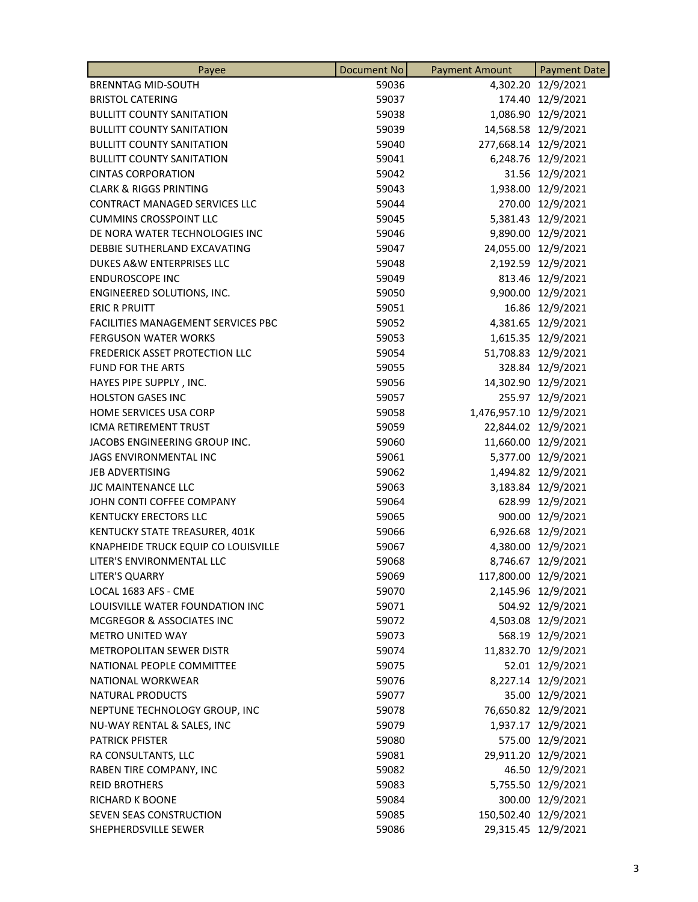| Payee                               | <b>Document No</b> | <b>Payment Amount</b>  | <b>Payment Date</b> |
|-------------------------------------|--------------------|------------------------|---------------------|
| <b>BRENNTAG MID-SOUTH</b>           | 59036              |                        | 4,302.20 12/9/2021  |
| <b>BRISTOL CATERING</b>             | 59037              |                        | 174.40 12/9/2021    |
| <b>BULLITT COUNTY SANITATION</b>    | 59038              |                        | 1,086.90 12/9/2021  |
| <b>BULLITT COUNTY SANITATION</b>    | 59039              |                        | 14,568.58 12/9/2021 |
| <b>BULLITT COUNTY SANITATION</b>    | 59040              | 277,668.14 12/9/2021   |                     |
| <b>BULLITT COUNTY SANITATION</b>    | 59041              |                        | 6,248.76 12/9/2021  |
| <b>CINTAS CORPORATION</b>           | 59042              |                        | 31.56 12/9/2021     |
| <b>CLARK &amp; RIGGS PRINTING</b>   | 59043              |                        | 1,938.00 12/9/2021  |
| CONTRACT MANAGED SERVICES LLC       | 59044              |                        | 270.00 12/9/2021    |
| <b>CUMMINS CROSSPOINT LLC</b>       | 59045              |                        | 5,381.43 12/9/2021  |
| DE NORA WATER TECHNOLOGIES INC      | 59046              |                        | 9,890.00 12/9/2021  |
| DEBBIE SUTHERLAND EXCAVATING        | 59047              |                        | 24,055.00 12/9/2021 |
| DUKES A&W ENTERPRISES LLC           | 59048              |                        | 2,192.59 12/9/2021  |
| <b>ENDUROSCOPE INC</b>              | 59049              |                        | 813.46 12/9/2021    |
| ENGINEERED SOLUTIONS, INC.          | 59050              |                        | 9,900.00 12/9/2021  |
| <b>ERIC R PRUITT</b>                | 59051              |                        | 16.86 12/9/2021     |
| FACILITIES MANAGEMENT SERVICES PBC  | 59052              |                        | 4,381.65 12/9/2021  |
| <b>FERGUSON WATER WORKS</b>         | 59053              |                        | 1,615.35 12/9/2021  |
| FREDERICK ASSET PROTECTION LLC      | 59054              |                        | 51,708.83 12/9/2021 |
| <b>FUND FOR THE ARTS</b>            | 59055              |                        | 328.84 12/9/2021    |
| HAYES PIPE SUPPLY, INC.             | 59056              |                        | 14,302.90 12/9/2021 |
| <b>HOLSTON GASES INC</b>            | 59057              |                        | 255.97 12/9/2021    |
| HOME SERVICES USA CORP              | 59058              | 1,476,957.10 12/9/2021 |                     |
| ICMA RETIREMENT TRUST               | 59059              |                        | 22,844.02 12/9/2021 |
| JACOBS ENGINEERING GROUP INC.       | 59060              |                        | 11,660.00 12/9/2021 |
| JAGS ENVIRONMENTAL INC              | 59061              |                        | 5,377.00 12/9/2021  |
| <b>JEB ADVERTISING</b>              | 59062              |                        | 1,494.82 12/9/2021  |
| <b>JJC MAINTENANCE LLC</b>          | 59063              |                        | 3,183.84 12/9/2021  |
| JOHN CONTI COFFEE COMPANY           | 59064              |                        | 628.99 12/9/2021    |
| <b>KENTUCKY ERECTORS LLC</b>        | 59065              |                        | 900.00 12/9/2021    |
| KENTUCKY STATE TREASURER, 401K      | 59066              |                        | 6,926.68 12/9/2021  |
| KNAPHEIDE TRUCK EQUIP CO LOUISVILLE | 59067              |                        | 4,380.00 12/9/2021  |
| LITER'S ENVIRONMENTAL LLC           | 59068              |                        | 8,746.67 12/9/2021  |
| LITER'S QUARRY                      | 59069              | 117,800.00 12/9/2021   |                     |
| LOCAL 1683 AFS - CME                | 59070              |                        | 2,145.96 12/9/2021  |
| LOUISVILLE WATER FOUNDATION INC     | 59071              |                        | 504.92 12/9/2021    |
| MCGREGOR & ASSOCIATES INC           | 59072              |                        | 4,503.08 12/9/2021  |
| <b>METRO UNITED WAY</b>             | 59073              |                        | 568.19 12/9/2021    |
| METROPOLITAN SEWER DISTR            | 59074              |                        | 11,832.70 12/9/2021 |
| NATIONAL PEOPLE COMMITTEE           | 59075              |                        | 52.01 12/9/2021     |
| <b>NATIONAL WORKWEAR</b>            | 59076              |                        | 8,227.14 12/9/2021  |
| <b>NATURAL PRODUCTS</b>             | 59077              |                        | 35.00 12/9/2021     |
| NEPTUNE TECHNOLOGY GROUP, INC       | 59078              |                        | 76,650.82 12/9/2021 |
| NU-WAY RENTAL & SALES, INC          | 59079              |                        | 1,937.17 12/9/2021  |
| <b>PATRICK PFISTER</b>              | 59080              |                        | 575.00 12/9/2021    |
| RA CONSULTANTS, LLC                 | 59081              |                        | 29,911.20 12/9/2021 |
| RABEN TIRE COMPANY, INC             | 59082              |                        | 46.50 12/9/2021     |
| <b>REID BROTHERS</b>                | 59083              |                        | 5,755.50 12/9/2021  |
| <b>RICHARD K BOONE</b>              | 59084              |                        | 300.00 12/9/2021    |
| SEVEN SEAS CONSTRUCTION             | 59085              | 150,502.40 12/9/2021   |                     |
| SHEPHERDSVILLE SEWER                | 59086              |                        | 29,315.45 12/9/2021 |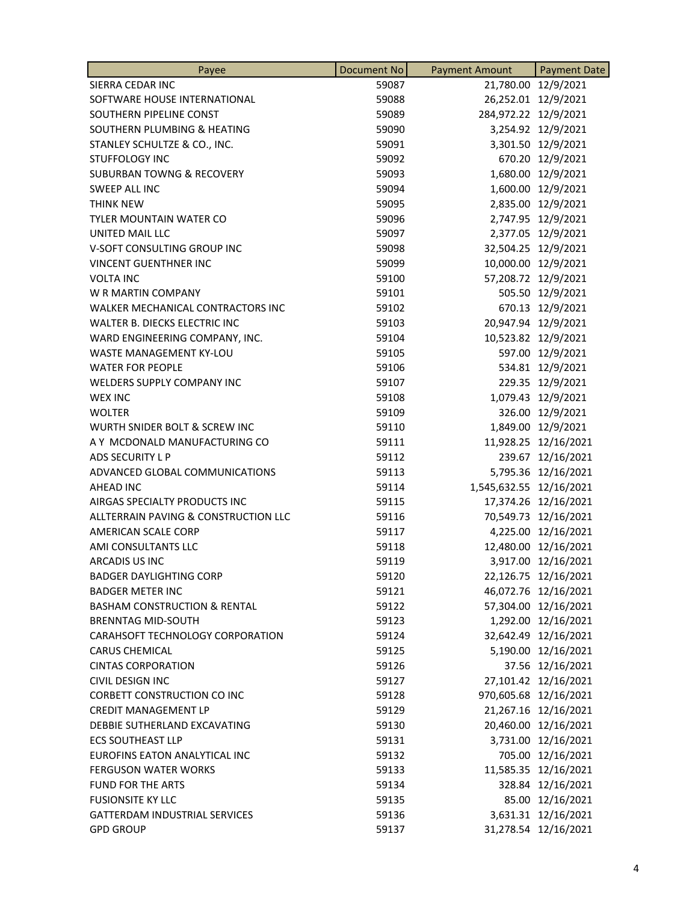| Payee                                   | Document No | <b>Payment Amount</b>   | <b>Payment Date</b>   |
|-----------------------------------------|-------------|-------------------------|-----------------------|
| SIERRA CEDAR INC                        | 59087       |                         | 21,780.00 12/9/2021   |
| SOFTWARE HOUSE INTERNATIONAL            | 59088       |                         | 26,252.01 12/9/2021   |
| SOUTHERN PIPELINE CONST                 | 59089       | 284,972.22 12/9/2021    |                       |
| SOUTHERN PLUMBING & HEATING             | 59090       |                         | 3,254.92 12/9/2021    |
| STANLEY SCHULTZE & CO., INC.            | 59091       |                         | 3,301.50 12/9/2021    |
| <b>STUFFOLOGY INC</b>                   | 59092       |                         | 670.20 12/9/2021      |
| <b>SUBURBAN TOWNG &amp; RECOVERY</b>    | 59093       |                         | 1,680.00 12/9/2021    |
| <b>SWEEP ALL INC</b>                    | 59094       |                         | 1,600.00 12/9/2021    |
| <b>THINK NEW</b>                        | 59095       |                         | 2,835.00 12/9/2021    |
| TYLER MOUNTAIN WATER CO                 | 59096       |                         | 2,747.95 12/9/2021    |
| UNITED MAIL LLC                         | 59097       |                         | 2,377.05 12/9/2021    |
| V-SOFT CONSULTING GROUP INC             | 59098       |                         | 32,504.25 12/9/2021   |
| <b>VINCENT GUENTHNER INC</b>            | 59099       |                         | 10,000.00 12/9/2021   |
| <b>VOLTA INC</b>                        | 59100       |                         | 57,208.72 12/9/2021   |
| W R MARTIN COMPANY                      | 59101       |                         | 505.50 12/9/2021      |
| WALKER MECHANICAL CONTRACTORS INC       | 59102       |                         | 670.13 12/9/2021      |
| WALTER B. DIECKS ELECTRIC INC           | 59103       |                         | 20,947.94 12/9/2021   |
| WARD ENGINEERING COMPANY, INC.          | 59104       |                         | 10,523.82 12/9/2021   |
| WASTE MANAGEMENT KY-LOU                 | 59105       |                         | 597.00 12/9/2021      |
| <b>WATER FOR PEOPLE</b>                 | 59106       |                         | 534.81 12/9/2021      |
| WELDERS SUPPLY COMPANY INC              | 59107       |                         | 229.35 12/9/2021      |
| <b>WEX INC</b>                          | 59108       |                         | 1,079.43 12/9/2021    |
| <b>WOLTER</b>                           | 59109       |                         | 326.00 12/9/2021      |
| WURTH SNIDER BOLT & SCREW INC           | 59110       |                         | 1,849.00 12/9/2021    |
| A Y MCDONALD MANUFACTURING CO           | 59111       |                         | 11,928.25 12/16/2021  |
| ADS SECURITY L P                        | 59112       |                         | 239.67 12/16/2021     |
| ADVANCED GLOBAL COMMUNICATIONS          | 59113       |                         | 5,795.36 12/16/2021   |
| <b>AHEAD INC</b>                        | 59114       | 1,545,632.55 12/16/2021 |                       |
| AIRGAS SPECIALTY PRODUCTS INC           | 59115       |                         | 17,374.26 12/16/2021  |
| ALLTERRAIN PAVING & CONSTRUCTION LLC    | 59116       |                         | 70,549.73 12/16/2021  |
| AMERICAN SCALE CORP                     | 59117       |                         | 4,225.00 12/16/2021   |
| AMI CONSULTANTS LLC                     | 59118       |                         | 12,480.00 12/16/2021  |
| ARCADIS US INC                          | 59119       |                         | 3,917.00 12/16/2021   |
| <b>BADGER DAYLIGHTING CORP</b>          | 59120       |                         | 22,126.75 12/16/2021  |
| <b>BADGER METER INC</b>                 | 59121       |                         | 46,072.76 12/16/2021  |
| <b>BASHAM CONSTRUCTION &amp; RENTAL</b> | 59122       |                         | 57,304.00 12/16/2021  |
| <b>BRENNTAG MID-SOUTH</b>               | 59123       |                         | 1,292.00 12/16/2021   |
| CARAHSOFT TECHNOLOGY CORPORATION        | 59124       |                         | 32,642.49 12/16/2021  |
| <b>CARUS CHEMICAL</b>                   | 59125       |                         | 5,190.00 12/16/2021   |
| <b>CINTAS CORPORATION</b>               | 59126       |                         | 37.56 12/16/2021      |
| CIVIL DESIGN INC                        | 59127       |                         | 27,101.42 12/16/2021  |
| <b>CORBETT CONSTRUCTION CO INC</b>      | 59128       |                         | 970,605.68 12/16/2021 |
| <b>CREDIT MANAGEMENT LP</b>             | 59129       |                         | 21,267.16 12/16/2021  |
| DEBBIE SUTHERLAND EXCAVATING            | 59130       |                         | 20,460.00 12/16/2021  |
| <b>ECS SOUTHEAST LLP</b>                | 59131       |                         | 3,731.00 12/16/2021   |
| EUROFINS EATON ANALYTICAL INC           | 59132       |                         | 705.00 12/16/2021     |
| <b>FERGUSON WATER WORKS</b>             | 59133       |                         | 11,585.35 12/16/2021  |
| <b>FUND FOR THE ARTS</b>                | 59134       |                         | 328.84 12/16/2021     |
| <b>FUSIONSITE KY LLC</b>                | 59135       |                         | 85.00 12/16/2021      |
| <b>GATTERDAM INDUSTRIAL SERVICES</b>    | 59136       |                         | 3,631.31 12/16/2021   |
| <b>GPD GROUP</b>                        | 59137       |                         | 31,278.54 12/16/2021  |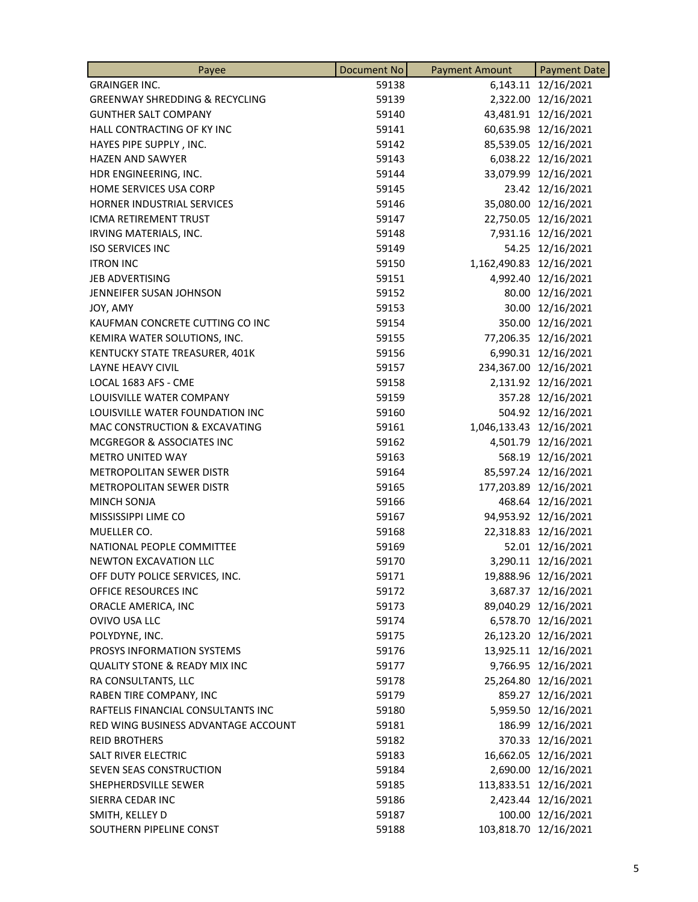| Payee                                     | <b>Document No</b> | <b>Payment Amount</b>   | <b>Payment Date</b>   |
|-------------------------------------------|--------------------|-------------------------|-----------------------|
| <b>GRAINGER INC.</b>                      | 59138              |                         | 6,143.11 12/16/2021   |
| <b>GREENWAY SHREDDING &amp; RECYCLING</b> | 59139              |                         | 2,322.00 12/16/2021   |
| <b>GUNTHER SALT COMPANY</b>               | 59140              |                         | 43,481.91 12/16/2021  |
| HALL CONTRACTING OF KY INC                | 59141              |                         | 60,635.98 12/16/2021  |
| HAYES PIPE SUPPLY, INC.                   | 59142              |                         | 85,539.05 12/16/2021  |
| <b>HAZEN AND SAWYER</b>                   | 59143              |                         | 6,038.22 12/16/2021   |
| HDR ENGINEERING, INC.                     | 59144              |                         | 33,079.99 12/16/2021  |
| HOME SERVICES USA CORP                    | 59145              |                         | 23.42 12/16/2021      |
| HORNER INDUSTRIAL SERVICES                | 59146              |                         | 35,080.00 12/16/2021  |
| ICMA RETIREMENT TRUST                     | 59147              |                         | 22,750.05 12/16/2021  |
| IRVING MATERIALS, INC.                    | 59148              |                         | 7,931.16 12/16/2021   |
| <b>ISO SERVICES INC</b>                   | 59149              |                         | 54.25 12/16/2021      |
| <b>ITRON INC</b>                          | 59150              | 1,162,490.83 12/16/2021 |                       |
| JEB ADVERTISING                           | 59151              |                         | 4,992.40 12/16/2021   |
| <b>JENNEIFER SUSAN JOHNSON</b>            | 59152              |                         | 80.00 12/16/2021      |
| JOY, AMY                                  | 59153              |                         | 30.00 12/16/2021      |
| KAUFMAN CONCRETE CUTTING CO INC           | 59154              |                         | 350.00 12/16/2021     |
| KEMIRA WATER SOLUTIONS, INC.              | 59155              |                         | 77,206.35 12/16/2021  |
| KENTUCKY STATE TREASURER, 401K            | 59156              |                         | 6,990.31 12/16/2021   |
| <b>LAYNE HEAVY CIVIL</b>                  | 59157              |                         | 234,367.00 12/16/2021 |
| LOCAL 1683 AFS - CME                      | 59158              |                         | 2,131.92 12/16/2021   |
| LOUISVILLE WATER COMPANY                  | 59159              |                         | 357.28 12/16/2021     |
| LOUISVILLE WATER FOUNDATION INC           | 59160              |                         | 504.92 12/16/2021     |
| MAC CONSTRUCTION & EXCAVATING             | 59161              | 1,046,133.43 12/16/2021 |                       |
| MCGREGOR & ASSOCIATES INC                 | 59162              |                         | 4,501.79 12/16/2021   |
| <b>METRO UNITED WAY</b>                   | 59163              |                         | 568.19 12/16/2021     |
| METROPOLITAN SEWER DISTR                  | 59164              |                         | 85,597.24 12/16/2021  |
| METROPOLITAN SEWER DISTR                  | 59165              |                         | 177,203.89 12/16/2021 |
| MINCH SONJA                               | 59166              |                         | 468.64 12/16/2021     |
| MISSISSIPPI LIME CO                       | 59167              |                         | 94,953.92 12/16/2021  |
| MUELLER CO.                               | 59168              |                         | 22,318.83 12/16/2021  |
| NATIONAL PEOPLE COMMITTEE                 | 59169              |                         | 52.01 12/16/2021      |
| NEWTON EXCAVATION LLC                     | 59170              |                         | 3,290.11 12/16/2021   |
| OFF DUTY POLICE SERVICES, INC.            | 59171              |                         | 19,888.96 12/16/2021  |
| OFFICE RESOURCES INC                      | 59172              |                         | 3,687.37 12/16/2021   |
| ORACLE AMERICA, INC                       | 59173              |                         | 89,040.29 12/16/2021  |
| OVIVO USA LLC                             | 59174              |                         | 6,578.70 12/16/2021   |
| POLYDYNE, INC.                            | 59175              |                         | 26,123.20 12/16/2021  |
| PROSYS INFORMATION SYSTEMS                | 59176              |                         | 13,925.11 12/16/2021  |
| <b>QUALITY STONE &amp; READY MIX INC</b>  | 59177              |                         | 9,766.95 12/16/2021   |
| RA CONSULTANTS, LLC                       | 59178              |                         | 25,264.80 12/16/2021  |
| RABEN TIRE COMPANY, INC                   | 59179              |                         | 859.27 12/16/2021     |
| RAFTELIS FINANCIAL CONSULTANTS INC        | 59180              |                         | 5,959.50 12/16/2021   |
| RED WING BUSINESS ADVANTAGE ACCOUNT       | 59181              |                         | 186.99 12/16/2021     |
| <b>REID BROTHERS</b>                      | 59182              |                         | 370.33 12/16/2021     |
| SALT RIVER ELECTRIC                       | 59183              |                         | 16,662.05 12/16/2021  |
| SEVEN SEAS CONSTRUCTION                   |                    |                         | 2,690.00 12/16/2021   |
| SHEPHERDSVILLE SEWER                      | 59184              |                         | 113,833.51 12/16/2021 |
|                                           | 59185              |                         |                       |
| SIERRA CEDAR INC                          | 59186              |                         | 2,423.44 12/16/2021   |
| SMITH, KELLEY D                           | 59187              |                         | 100.00 12/16/2021     |
| SOUTHERN PIPELINE CONST                   | 59188              |                         | 103,818.70 12/16/2021 |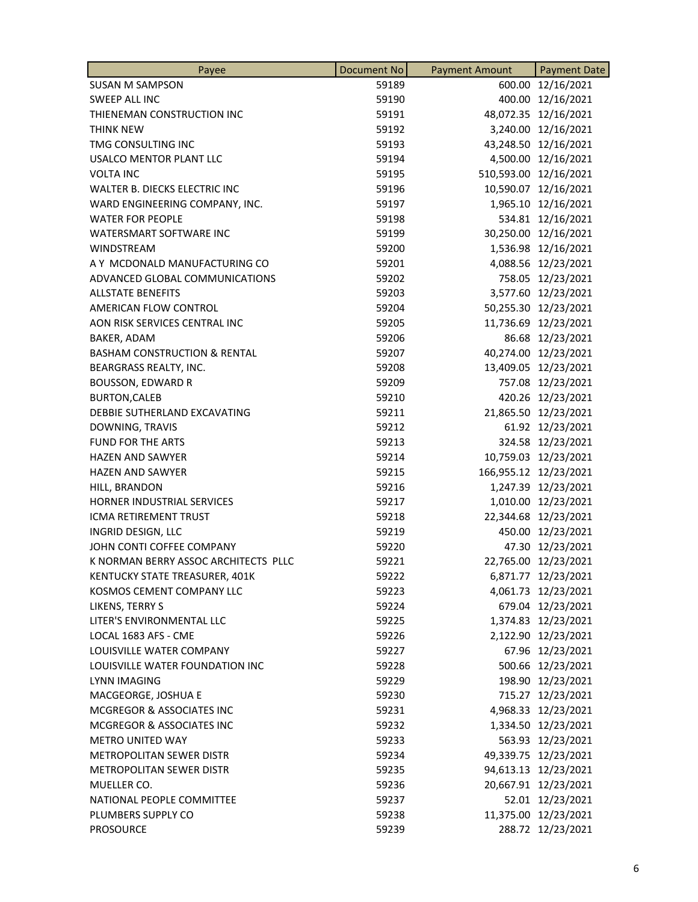| 600.00 12/16/2021<br><b>SUSAN M SAMPSON</b><br>59189<br>400.00 12/16/2021<br>SWEEP ALL INC<br>59190<br>48,072.35 12/16/2021<br>THIENEMAN CONSTRUCTION INC<br>59191<br>3,240.00 12/16/2021<br><b>THINK NEW</b><br>59192<br>TMG CONSULTING INC<br>59193<br>43,248.50 12/16/2021<br><b>USALCO MENTOR PLANT LLC</b><br>4,500.00 12/16/2021<br>59194<br>510,593.00 12/16/2021<br><b>VOLTA INC</b><br>59195<br>WALTER B. DIECKS ELECTRIC INC<br>59196<br>10,590.07 12/16/2021<br>1,965.10 12/16/2021<br>WARD ENGINEERING COMPANY, INC.<br>59197<br>534.81 12/16/2021<br><b>WATER FOR PEOPLE</b><br>59198<br>30,250.00 12/16/2021<br>WATERSMART SOFTWARE INC<br>59199<br><b>WINDSTREAM</b><br>59200<br>1,536.98 12/16/2021<br>A Y MCDONALD MANUFACTURING CO<br>59201<br>4,088.56 12/23/2021<br>758.05 12/23/2021<br>59202<br>ADVANCED GLOBAL COMMUNICATIONS<br>3,577.60 12/23/2021<br><b>ALLSTATE BENEFITS</b><br>59203<br>50,255.30 12/23/2021<br>AMERICAN FLOW CONTROL<br>59204<br>AON RISK SERVICES CENTRAL INC<br>59205<br>11,736.69 12/23/2021<br>59206<br>86.68 12/23/2021<br>BAKER, ADAM<br><b>BASHAM CONSTRUCTION &amp; RENTAL</b><br>59207<br>40,274.00 12/23/2021<br>59208<br>13,409.05 12/23/2021<br>BEARGRASS REALTY, INC.<br>757.08 12/23/2021<br><b>BOUSSON, EDWARD R</b><br>59209<br>420.26 12/23/2021<br><b>BURTON, CALEB</b><br>59210<br>21,865.50 12/23/2021<br>DEBBIE SUTHERLAND EXCAVATING<br>59211<br>59212<br>61.92 12/23/2021<br>DOWNING, TRAVIS<br>324.58 12/23/2021<br><b>FUND FOR THE ARTS</b><br>59213<br>59214<br>10,759.03 12/23/2021<br><b>HAZEN AND SAWYER</b><br>59215<br>166,955.12 12/23/2021<br><b>HAZEN AND SAWYER</b><br>59216<br>1,247.39 12/23/2021<br>HILL, BRANDON<br>HORNER INDUSTRIAL SERVICES<br>59217<br>1,010.00 12/23/2021<br>ICMA RETIREMENT TRUST<br>59218<br>22,344.68 12/23/2021<br>450.00 12/23/2021<br>INGRID DESIGN, LLC<br>59219<br>JOHN CONTI COFFEE COMPANY<br>47.30 12/23/2021<br>59220<br>K NORMAN BERRY ASSOC ARCHITECTS PLLC<br>59221<br>22,765.00 12/23/2021<br>KENTUCKY STATE TREASURER, 401K<br>59222<br>6,871.77 12/23/2021 |
|---------------------------------------------------------------------------------------------------------------------------------------------------------------------------------------------------------------------------------------------------------------------------------------------------------------------------------------------------------------------------------------------------------------------------------------------------------------------------------------------------------------------------------------------------------------------------------------------------------------------------------------------------------------------------------------------------------------------------------------------------------------------------------------------------------------------------------------------------------------------------------------------------------------------------------------------------------------------------------------------------------------------------------------------------------------------------------------------------------------------------------------------------------------------------------------------------------------------------------------------------------------------------------------------------------------------------------------------------------------------------------------------------------------------------------------------------------------------------------------------------------------------------------------------------------------------------------------------------------------------------------------------------------------------------------------------------------------------------------------------------------------------------------------------------------------------------------------------------------------------------------------------------------------------------------------------------------------------------------------------------------------------------------------------------------------------------------------|
|                                                                                                                                                                                                                                                                                                                                                                                                                                                                                                                                                                                                                                                                                                                                                                                                                                                                                                                                                                                                                                                                                                                                                                                                                                                                                                                                                                                                                                                                                                                                                                                                                                                                                                                                                                                                                                                                                                                                                                                                                                                                                       |
|                                                                                                                                                                                                                                                                                                                                                                                                                                                                                                                                                                                                                                                                                                                                                                                                                                                                                                                                                                                                                                                                                                                                                                                                                                                                                                                                                                                                                                                                                                                                                                                                                                                                                                                                                                                                                                                                                                                                                                                                                                                                                       |
|                                                                                                                                                                                                                                                                                                                                                                                                                                                                                                                                                                                                                                                                                                                                                                                                                                                                                                                                                                                                                                                                                                                                                                                                                                                                                                                                                                                                                                                                                                                                                                                                                                                                                                                                                                                                                                                                                                                                                                                                                                                                                       |
|                                                                                                                                                                                                                                                                                                                                                                                                                                                                                                                                                                                                                                                                                                                                                                                                                                                                                                                                                                                                                                                                                                                                                                                                                                                                                                                                                                                                                                                                                                                                                                                                                                                                                                                                                                                                                                                                                                                                                                                                                                                                                       |
|                                                                                                                                                                                                                                                                                                                                                                                                                                                                                                                                                                                                                                                                                                                                                                                                                                                                                                                                                                                                                                                                                                                                                                                                                                                                                                                                                                                                                                                                                                                                                                                                                                                                                                                                                                                                                                                                                                                                                                                                                                                                                       |
|                                                                                                                                                                                                                                                                                                                                                                                                                                                                                                                                                                                                                                                                                                                                                                                                                                                                                                                                                                                                                                                                                                                                                                                                                                                                                                                                                                                                                                                                                                                                                                                                                                                                                                                                                                                                                                                                                                                                                                                                                                                                                       |
|                                                                                                                                                                                                                                                                                                                                                                                                                                                                                                                                                                                                                                                                                                                                                                                                                                                                                                                                                                                                                                                                                                                                                                                                                                                                                                                                                                                                                                                                                                                                                                                                                                                                                                                                                                                                                                                                                                                                                                                                                                                                                       |
|                                                                                                                                                                                                                                                                                                                                                                                                                                                                                                                                                                                                                                                                                                                                                                                                                                                                                                                                                                                                                                                                                                                                                                                                                                                                                                                                                                                                                                                                                                                                                                                                                                                                                                                                                                                                                                                                                                                                                                                                                                                                                       |
|                                                                                                                                                                                                                                                                                                                                                                                                                                                                                                                                                                                                                                                                                                                                                                                                                                                                                                                                                                                                                                                                                                                                                                                                                                                                                                                                                                                                                                                                                                                                                                                                                                                                                                                                                                                                                                                                                                                                                                                                                                                                                       |
|                                                                                                                                                                                                                                                                                                                                                                                                                                                                                                                                                                                                                                                                                                                                                                                                                                                                                                                                                                                                                                                                                                                                                                                                                                                                                                                                                                                                                                                                                                                                                                                                                                                                                                                                                                                                                                                                                                                                                                                                                                                                                       |
|                                                                                                                                                                                                                                                                                                                                                                                                                                                                                                                                                                                                                                                                                                                                                                                                                                                                                                                                                                                                                                                                                                                                                                                                                                                                                                                                                                                                                                                                                                                                                                                                                                                                                                                                                                                                                                                                                                                                                                                                                                                                                       |
|                                                                                                                                                                                                                                                                                                                                                                                                                                                                                                                                                                                                                                                                                                                                                                                                                                                                                                                                                                                                                                                                                                                                                                                                                                                                                                                                                                                                                                                                                                                                                                                                                                                                                                                                                                                                                                                                                                                                                                                                                                                                                       |
|                                                                                                                                                                                                                                                                                                                                                                                                                                                                                                                                                                                                                                                                                                                                                                                                                                                                                                                                                                                                                                                                                                                                                                                                                                                                                                                                                                                                                                                                                                                                                                                                                                                                                                                                                                                                                                                                                                                                                                                                                                                                                       |
|                                                                                                                                                                                                                                                                                                                                                                                                                                                                                                                                                                                                                                                                                                                                                                                                                                                                                                                                                                                                                                                                                                                                                                                                                                                                                                                                                                                                                                                                                                                                                                                                                                                                                                                                                                                                                                                                                                                                                                                                                                                                                       |
|                                                                                                                                                                                                                                                                                                                                                                                                                                                                                                                                                                                                                                                                                                                                                                                                                                                                                                                                                                                                                                                                                                                                                                                                                                                                                                                                                                                                                                                                                                                                                                                                                                                                                                                                                                                                                                                                                                                                                                                                                                                                                       |
|                                                                                                                                                                                                                                                                                                                                                                                                                                                                                                                                                                                                                                                                                                                                                                                                                                                                                                                                                                                                                                                                                                                                                                                                                                                                                                                                                                                                                                                                                                                                                                                                                                                                                                                                                                                                                                                                                                                                                                                                                                                                                       |
|                                                                                                                                                                                                                                                                                                                                                                                                                                                                                                                                                                                                                                                                                                                                                                                                                                                                                                                                                                                                                                                                                                                                                                                                                                                                                                                                                                                                                                                                                                                                                                                                                                                                                                                                                                                                                                                                                                                                                                                                                                                                                       |
|                                                                                                                                                                                                                                                                                                                                                                                                                                                                                                                                                                                                                                                                                                                                                                                                                                                                                                                                                                                                                                                                                                                                                                                                                                                                                                                                                                                                                                                                                                                                                                                                                                                                                                                                                                                                                                                                                                                                                                                                                                                                                       |
|                                                                                                                                                                                                                                                                                                                                                                                                                                                                                                                                                                                                                                                                                                                                                                                                                                                                                                                                                                                                                                                                                                                                                                                                                                                                                                                                                                                                                                                                                                                                                                                                                                                                                                                                                                                                                                                                                                                                                                                                                                                                                       |
|                                                                                                                                                                                                                                                                                                                                                                                                                                                                                                                                                                                                                                                                                                                                                                                                                                                                                                                                                                                                                                                                                                                                                                                                                                                                                                                                                                                                                                                                                                                                                                                                                                                                                                                                                                                                                                                                                                                                                                                                                                                                                       |
|                                                                                                                                                                                                                                                                                                                                                                                                                                                                                                                                                                                                                                                                                                                                                                                                                                                                                                                                                                                                                                                                                                                                                                                                                                                                                                                                                                                                                                                                                                                                                                                                                                                                                                                                                                                                                                                                                                                                                                                                                                                                                       |
|                                                                                                                                                                                                                                                                                                                                                                                                                                                                                                                                                                                                                                                                                                                                                                                                                                                                                                                                                                                                                                                                                                                                                                                                                                                                                                                                                                                                                                                                                                                                                                                                                                                                                                                                                                                                                                                                                                                                                                                                                                                                                       |
|                                                                                                                                                                                                                                                                                                                                                                                                                                                                                                                                                                                                                                                                                                                                                                                                                                                                                                                                                                                                                                                                                                                                                                                                                                                                                                                                                                                                                                                                                                                                                                                                                                                                                                                                                                                                                                                                                                                                                                                                                                                                                       |
|                                                                                                                                                                                                                                                                                                                                                                                                                                                                                                                                                                                                                                                                                                                                                                                                                                                                                                                                                                                                                                                                                                                                                                                                                                                                                                                                                                                                                                                                                                                                                                                                                                                                                                                                                                                                                                                                                                                                                                                                                                                                                       |
|                                                                                                                                                                                                                                                                                                                                                                                                                                                                                                                                                                                                                                                                                                                                                                                                                                                                                                                                                                                                                                                                                                                                                                                                                                                                                                                                                                                                                                                                                                                                                                                                                                                                                                                                                                                                                                                                                                                                                                                                                                                                                       |
|                                                                                                                                                                                                                                                                                                                                                                                                                                                                                                                                                                                                                                                                                                                                                                                                                                                                                                                                                                                                                                                                                                                                                                                                                                                                                                                                                                                                                                                                                                                                                                                                                                                                                                                                                                                                                                                                                                                                                                                                                                                                                       |
|                                                                                                                                                                                                                                                                                                                                                                                                                                                                                                                                                                                                                                                                                                                                                                                                                                                                                                                                                                                                                                                                                                                                                                                                                                                                                                                                                                                                                                                                                                                                                                                                                                                                                                                                                                                                                                                                                                                                                                                                                                                                                       |
|                                                                                                                                                                                                                                                                                                                                                                                                                                                                                                                                                                                                                                                                                                                                                                                                                                                                                                                                                                                                                                                                                                                                                                                                                                                                                                                                                                                                                                                                                                                                                                                                                                                                                                                                                                                                                                                                                                                                                                                                                                                                                       |
|                                                                                                                                                                                                                                                                                                                                                                                                                                                                                                                                                                                                                                                                                                                                                                                                                                                                                                                                                                                                                                                                                                                                                                                                                                                                                                                                                                                                                                                                                                                                                                                                                                                                                                                                                                                                                                                                                                                                                                                                                                                                                       |
|                                                                                                                                                                                                                                                                                                                                                                                                                                                                                                                                                                                                                                                                                                                                                                                                                                                                                                                                                                                                                                                                                                                                                                                                                                                                                                                                                                                                                                                                                                                                                                                                                                                                                                                                                                                                                                                                                                                                                                                                                                                                                       |
|                                                                                                                                                                                                                                                                                                                                                                                                                                                                                                                                                                                                                                                                                                                                                                                                                                                                                                                                                                                                                                                                                                                                                                                                                                                                                                                                                                                                                                                                                                                                                                                                                                                                                                                                                                                                                                                                                                                                                                                                                                                                                       |
|                                                                                                                                                                                                                                                                                                                                                                                                                                                                                                                                                                                                                                                                                                                                                                                                                                                                                                                                                                                                                                                                                                                                                                                                                                                                                                                                                                                                                                                                                                                                                                                                                                                                                                                                                                                                                                                                                                                                                                                                                                                                                       |
|                                                                                                                                                                                                                                                                                                                                                                                                                                                                                                                                                                                                                                                                                                                                                                                                                                                                                                                                                                                                                                                                                                                                                                                                                                                                                                                                                                                                                                                                                                                                                                                                                                                                                                                                                                                                                                                                                                                                                                                                                                                                                       |
|                                                                                                                                                                                                                                                                                                                                                                                                                                                                                                                                                                                                                                                                                                                                                                                                                                                                                                                                                                                                                                                                                                                                                                                                                                                                                                                                                                                                                                                                                                                                                                                                                                                                                                                                                                                                                                                                                                                                                                                                                                                                                       |
| KOSMOS CEMENT COMPANY LLC<br>59223<br>4,061.73 12/23/2021                                                                                                                                                                                                                                                                                                                                                                                                                                                                                                                                                                                                                                                                                                                                                                                                                                                                                                                                                                                                                                                                                                                                                                                                                                                                                                                                                                                                                                                                                                                                                                                                                                                                                                                                                                                                                                                                                                                                                                                                                             |
| 679.04 12/23/2021<br>LIKENS, TERRY S<br>59224                                                                                                                                                                                                                                                                                                                                                                                                                                                                                                                                                                                                                                                                                                                                                                                                                                                                                                                                                                                                                                                                                                                                                                                                                                                                                                                                                                                                                                                                                                                                                                                                                                                                                                                                                                                                                                                                                                                                                                                                                                         |
| 1,374.83 12/23/2021<br>LITER'S ENVIRONMENTAL LLC<br>59225                                                                                                                                                                                                                                                                                                                                                                                                                                                                                                                                                                                                                                                                                                                                                                                                                                                                                                                                                                                                                                                                                                                                                                                                                                                                                                                                                                                                                                                                                                                                                                                                                                                                                                                                                                                                                                                                                                                                                                                                                             |
| 2,122.90 12/23/2021<br>LOCAL 1683 AFS - CME<br>59226                                                                                                                                                                                                                                                                                                                                                                                                                                                                                                                                                                                                                                                                                                                                                                                                                                                                                                                                                                                                                                                                                                                                                                                                                                                                                                                                                                                                                                                                                                                                                                                                                                                                                                                                                                                                                                                                                                                                                                                                                                  |
| 67.96 12/23/2021<br>LOUISVILLE WATER COMPANY<br>59227                                                                                                                                                                                                                                                                                                                                                                                                                                                                                                                                                                                                                                                                                                                                                                                                                                                                                                                                                                                                                                                                                                                                                                                                                                                                                                                                                                                                                                                                                                                                                                                                                                                                                                                                                                                                                                                                                                                                                                                                                                 |
| 500.66 12/23/2021<br>LOUISVILLE WATER FOUNDATION INC<br>59228                                                                                                                                                                                                                                                                                                                                                                                                                                                                                                                                                                                                                                                                                                                                                                                                                                                                                                                                                                                                                                                                                                                                                                                                                                                                                                                                                                                                                                                                                                                                                                                                                                                                                                                                                                                                                                                                                                                                                                                                                         |
| 59229<br>198.90 12/23/2021<br><b>LYNN IMAGING</b>                                                                                                                                                                                                                                                                                                                                                                                                                                                                                                                                                                                                                                                                                                                                                                                                                                                                                                                                                                                                                                                                                                                                                                                                                                                                                                                                                                                                                                                                                                                                                                                                                                                                                                                                                                                                                                                                                                                                                                                                                                     |
| 715.27 12/23/2021<br>MACGEORGE, JOSHUA E<br>59230                                                                                                                                                                                                                                                                                                                                                                                                                                                                                                                                                                                                                                                                                                                                                                                                                                                                                                                                                                                                                                                                                                                                                                                                                                                                                                                                                                                                                                                                                                                                                                                                                                                                                                                                                                                                                                                                                                                                                                                                                                     |
| 4,968.33 12/23/2021<br><b>MCGREGOR &amp; ASSOCIATES INC</b><br>59231                                                                                                                                                                                                                                                                                                                                                                                                                                                                                                                                                                                                                                                                                                                                                                                                                                                                                                                                                                                                                                                                                                                                                                                                                                                                                                                                                                                                                                                                                                                                                                                                                                                                                                                                                                                                                                                                                                                                                                                                                  |
| 1,334.50 12/23/2021<br>MCGREGOR & ASSOCIATES INC<br>59232                                                                                                                                                                                                                                                                                                                                                                                                                                                                                                                                                                                                                                                                                                                                                                                                                                                                                                                                                                                                                                                                                                                                                                                                                                                                                                                                                                                                                                                                                                                                                                                                                                                                                                                                                                                                                                                                                                                                                                                                                             |
| 563.93 12/23/2021<br><b>METRO UNITED WAY</b><br>59233                                                                                                                                                                                                                                                                                                                                                                                                                                                                                                                                                                                                                                                                                                                                                                                                                                                                                                                                                                                                                                                                                                                                                                                                                                                                                                                                                                                                                                                                                                                                                                                                                                                                                                                                                                                                                                                                                                                                                                                                                                 |
| METROPOLITAN SEWER DISTR<br>49,339.75 12/23/2021<br>59234                                                                                                                                                                                                                                                                                                                                                                                                                                                                                                                                                                                                                                                                                                                                                                                                                                                                                                                                                                                                                                                                                                                                                                                                                                                                                                                                                                                                                                                                                                                                                                                                                                                                                                                                                                                                                                                                                                                                                                                                                             |
| 94,613.13 12/23/2021<br>METROPOLITAN SEWER DISTR<br>59235                                                                                                                                                                                                                                                                                                                                                                                                                                                                                                                                                                                                                                                                                                                                                                                                                                                                                                                                                                                                                                                                                                                                                                                                                                                                                                                                                                                                                                                                                                                                                                                                                                                                                                                                                                                                                                                                                                                                                                                                                             |
| 20,667.91 12/23/2021<br>MUELLER CO.<br>59236                                                                                                                                                                                                                                                                                                                                                                                                                                                                                                                                                                                                                                                                                                                                                                                                                                                                                                                                                                                                                                                                                                                                                                                                                                                                                                                                                                                                                                                                                                                                                                                                                                                                                                                                                                                                                                                                                                                                                                                                                                          |
| 52.01 12/23/2021<br>NATIONAL PEOPLE COMMITTEE<br>59237                                                                                                                                                                                                                                                                                                                                                                                                                                                                                                                                                                                                                                                                                                                                                                                                                                                                                                                                                                                                                                                                                                                                                                                                                                                                                                                                                                                                                                                                                                                                                                                                                                                                                                                                                                                                                                                                                                                                                                                                                                |
| 11,375.00 12/23/2021<br>PLUMBERS SUPPLY CO<br>59238                                                                                                                                                                                                                                                                                                                                                                                                                                                                                                                                                                                                                                                                                                                                                                                                                                                                                                                                                                                                                                                                                                                                                                                                                                                                                                                                                                                                                                                                                                                                                                                                                                                                                                                                                                                                                                                                                                                                                                                                                                   |
| <b>PROSOURCE</b><br>288.72 12/23/2021<br>59239                                                                                                                                                                                                                                                                                                                                                                                                                                                                                                                                                                                                                                                                                                                                                                                                                                                                                                                                                                                                                                                                                                                                                                                                                                                                                                                                                                                                                                                                                                                                                                                                                                                                                                                                                                                                                                                                                                                                                                                                                                        |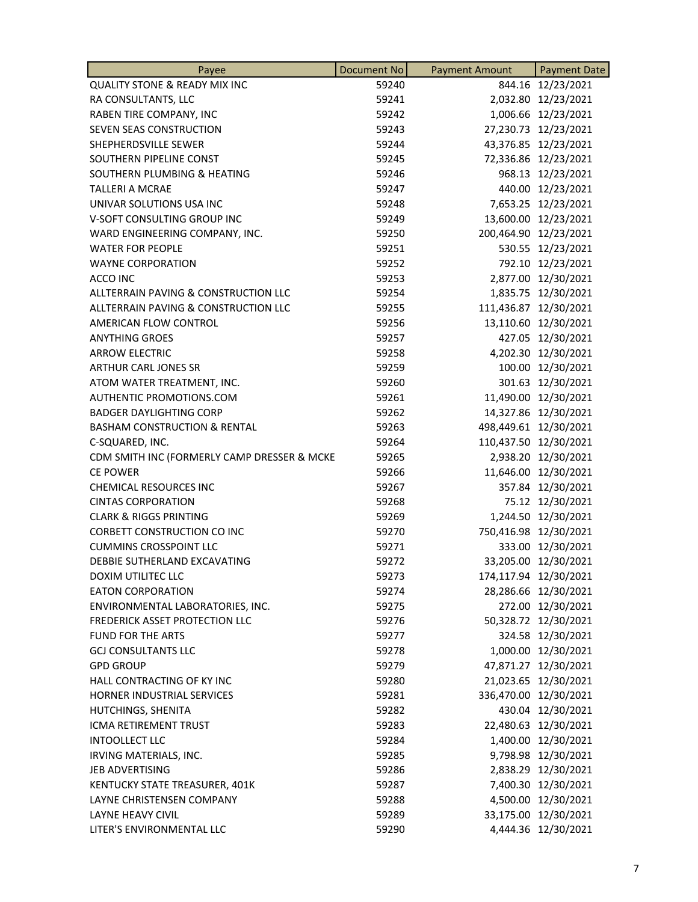| <b>QUALITY STONE &amp; READY MIX INC</b><br>844.16 12/23/2021<br>59240<br>RA CONSULTANTS, LLC<br>59241<br>2,032.80 12/23/2021<br>1,006.66 12/23/2021<br>RABEN TIRE COMPANY, INC<br>59242<br>SEVEN SEAS CONSTRUCTION<br>59243<br>27,230.73 12/23/2021<br>SHEPHERDSVILLE SEWER<br>59244<br>43,376.85 12/23/2021<br>59245<br>72,336.86 12/23/2021<br>SOUTHERN PIPELINE CONST<br>SOUTHERN PLUMBING & HEATING<br>59246<br>968.13 12/23/2021<br><b>TALLERI A MCRAE</b><br>59247<br>440.00 12/23/2021<br>UNIVAR SOLUTIONS USA INC<br>59248<br>7,653.25 12/23/2021<br>V-SOFT CONSULTING GROUP INC<br>13,600.00 12/23/2021<br>59249<br>200,464.90 12/23/2021<br>WARD ENGINEERING COMPANY, INC.<br>59250<br>59251<br>530.55 12/23/2021<br><b>WATER FOR PEOPLE</b><br><b>WAYNE CORPORATION</b><br>59252<br>792.10 12/23/2021<br>59253<br>2,877.00 12/30/2021<br>ACCO INC<br>ALLTERRAIN PAVING & CONSTRUCTION LLC<br>1,835.75 12/30/2021<br>59254<br>ALLTERRAIN PAVING & CONSTRUCTION LLC<br>111,436.87 12/30/2021<br>59255<br>13,110.60 12/30/2021<br>AMERICAN FLOW CONTROL<br>59256<br><b>ANYTHING GROES</b><br>59257<br>427.05 12/30/2021<br><b>ARROW ELECTRIC</b><br>59258<br>4,202.30 12/30/2021<br>ARTHUR CARL JONES SR<br>59259<br>100.00 12/30/2021<br>301.63 12/30/2021<br>ATOM WATER TREATMENT, INC.<br>59260<br>11,490.00 12/30/2021<br>AUTHENTIC PROMOTIONS.COM<br>59261<br>14,327.86 12/30/2021<br><b>BADGER DAYLIGHTING CORP</b><br>59262<br><b>BASHAM CONSTRUCTION &amp; RENTAL</b><br>59263<br>498,449.61 12/30/2021<br>59264<br>110,437.50 12/30/2021<br>C-SQUARED, INC.<br>CDM SMITH INC (FORMERLY CAMP DRESSER & MCKE<br>2,938.20 12/30/2021<br>59265<br><b>CE POWER</b><br>11,646.00 12/30/2021<br>59266<br>59267<br>357.84 12/30/2021<br><b>CHEMICAL RESOURCES INC</b><br>75.12 12/30/2021<br><b>CINTAS CORPORATION</b><br>59268<br><b>CLARK &amp; RIGGS PRINTING</b><br>59269<br>1,244.50 12/30/2021<br>750,416.98 12/30/2021<br>CORBETT CONSTRUCTION CO INC<br>59270<br>333.00 12/30/2021<br><b>CUMMINS CROSSPOINT LLC</b><br>59271<br>DEBBIE SUTHERLAND EXCAVATING<br>59272<br>33,205.00 12/30/2021<br><b>DOXIM UTILITEC LLC</b><br>59273<br>174,117.94 12/30/2021<br><b>EATON CORPORATION</b><br>28,286.66 12/30/2021<br>59274<br>272.00 12/30/2021<br>ENVIRONMENTAL LABORATORIES, INC.<br>59275<br>50,328.72 12/30/2021<br>FREDERICK ASSET PROTECTION LLC<br>59276<br>324.58 12/30/2021<br>FUND FOR THE ARTS<br>59277<br>1,000.00 12/30/2021<br><b>GCJ CONSULTANTS LLC</b><br>59278<br>47,871.27 12/30/2021<br><b>GPD GROUP</b><br>59279<br>HALL CONTRACTING OF KY INC<br>21,023.65 12/30/2021<br>59280<br>336,470.00 12/30/2021<br><b>HORNER INDUSTRIAL SERVICES</b><br>59281<br>430.04 12/30/2021<br>HUTCHINGS, SHENITA<br>59282<br>ICMA RETIREMENT TRUST<br>22,480.63 12/30/2021<br>59283<br><b>INTOOLLECT LLC</b><br>1,400.00 12/30/2021<br>59284<br>IRVING MATERIALS, INC.<br>9,798.98 12/30/2021<br>59285<br>JEB ADVERTISING<br>2,838.29 12/30/2021<br>59286<br>7,400.30 12/30/2021<br>KENTUCKY STATE TREASURER, 401K<br>59287<br>4,500.00 12/30/2021<br>LAYNE CHRISTENSEN COMPANY<br>59288<br>33,175.00 12/30/2021<br>LAYNE HEAVY CIVIL<br>59289<br>4,444.36 12/30/2021<br>LITER'S ENVIRONMENTAL LLC<br>59290 | Payee | <b>Document No</b> | <b>Payment Amount</b> | <b>Payment Date</b> |
|------------------------------------------------------------------------------------------------------------------------------------------------------------------------------------------------------------------------------------------------------------------------------------------------------------------------------------------------------------------------------------------------------------------------------------------------------------------------------------------------------------------------------------------------------------------------------------------------------------------------------------------------------------------------------------------------------------------------------------------------------------------------------------------------------------------------------------------------------------------------------------------------------------------------------------------------------------------------------------------------------------------------------------------------------------------------------------------------------------------------------------------------------------------------------------------------------------------------------------------------------------------------------------------------------------------------------------------------------------------------------------------------------------------------------------------------------------------------------------------------------------------------------------------------------------------------------------------------------------------------------------------------------------------------------------------------------------------------------------------------------------------------------------------------------------------------------------------------------------------------------------------------------------------------------------------------------------------------------------------------------------------------------------------------------------------------------------------------------------------------------------------------------------------------------------------------------------------------------------------------------------------------------------------------------------------------------------------------------------------------------------------------------------------------------------------------------------------------------------------------------------------------------------------------------------------------------------------------------------------------------------------------------------------------------------------------------------------------------------------------------------------------------------------------------------------------------------------------------------------------------------------------------------------------------------------------------------------------------------------------------------------------------------------------------------------------------------------------------------------------------------------------------------------------------------------------------------------------------------|-------|--------------------|-----------------------|---------------------|
|                                                                                                                                                                                                                                                                                                                                                                                                                                                                                                                                                                                                                                                                                                                                                                                                                                                                                                                                                                                                                                                                                                                                                                                                                                                                                                                                                                                                                                                                                                                                                                                                                                                                                                                                                                                                                                                                                                                                                                                                                                                                                                                                                                                                                                                                                                                                                                                                                                                                                                                                                                                                                                                                                                                                                                                                                                                                                                                                                                                                                                                                                                                                                                                                                                    |       |                    |                       |                     |
|                                                                                                                                                                                                                                                                                                                                                                                                                                                                                                                                                                                                                                                                                                                                                                                                                                                                                                                                                                                                                                                                                                                                                                                                                                                                                                                                                                                                                                                                                                                                                                                                                                                                                                                                                                                                                                                                                                                                                                                                                                                                                                                                                                                                                                                                                                                                                                                                                                                                                                                                                                                                                                                                                                                                                                                                                                                                                                                                                                                                                                                                                                                                                                                                                                    |       |                    |                       |                     |
|                                                                                                                                                                                                                                                                                                                                                                                                                                                                                                                                                                                                                                                                                                                                                                                                                                                                                                                                                                                                                                                                                                                                                                                                                                                                                                                                                                                                                                                                                                                                                                                                                                                                                                                                                                                                                                                                                                                                                                                                                                                                                                                                                                                                                                                                                                                                                                                                                                                                                                                                                                                                                                                                                                                                                                                                                                                                                                                                                                                                                                                                                                                                                                                                                                    |       |                    |                       |                     |
|                                                                                                                                                                                                                                                                                                                                                                                                                                                                                                                                                                                                                                                                                                                                                                                                                                                                                                                                                                                                                                                                                                                                                                                                                                                                                                                                                                                                                                                                                                                                                                                                                                                                                                                                                                                                                                                                                                                                                                                                                                                                                                                                                                                                                                                                                                                                                                                                                                                                                                                                                                                                                                                                                                                                                                                                                                                                                                                                                                                                                                                                                                                                                                                                                                    |       |                    |                       |                     |
|                                                                                                                                                                                                                                                                                                                                                                                                                                                                                                                                                                                                                                                                                                                                                                                                                                                                                                                                                                                                                                                                                                                                                                                                                                                                                                                                                                                                                                                                                                                                                                                                                                                                                                                                                                                                                                                                                                                                                                                                                                                                                                                                                                                                                                                                                                                                                                                                                                                                                                                                                                                                                                                                                                                                                                                                                                                                                                                                                                                                                                                                                                                                                                                                                                    |       |                    |                       |                     |
|                                                                                                                                                                                                                                                                                                                                                                                                                                                                                                                                                                                                                                                                                                                                                                                                                                                                                                                                                                                                                                                                                                                                                                                                                                                                                                                                                                                                                                                                                                                                                                                                                                                                                                                                                                                                                                                                                                                                                                                                                                                                                                                                                                                                                                                                                                                                                                                                                                                                                                                                                                                                                                                                                                                                                                                                                                                                                                                                                                                                                                                                                                                                                                                                                                    |       |                    |                       |                     |
|                                                                                                                                                                                                                                                                                                                                                                                                                                                                                                                                                                                                                                                                                                                                                                                                                                                                                                                                                                                                                                                                                                                                                                                                                                                                                                                                                                                                                                                                                                                                                                                                                                                                                                                                                                                                                                                                                                                                                                                                                                                                                                                                                                                                                                                                                                                                                                                                                                                                                                                                                                                                                                                                                                                                                                                                                                                                                                                                                                                                                                                                                                                                                                                                                                    |       |                    |                       |                     |
|                                                                                                                                                                                                                                                                                                                                                                                                                                                                                                                                                                                                                                                                                                                                                                                                                                                                                                                                                                                                                                                                                                                                                                                                                                                                                                                                                                                                                                                                                                                                                                                                                                                                                                                                                                                                                                                                                                                                                                                                                                                                                                                                                                                                                                                                                                                                                                                                                                                                                                                                                                                                                                                                                                                                                                                                                                                                                                                                                                                                                                                                                                                                                                                                                                    |       |                    |                       |                     |
|                                                                                                                                                                                                                                                                                                                                                                                                                                                                                                                                                                                                                                                                                                                                                                                                                                                                                                                                                                                                                                                                                                                                                                                                                                                                                                                                                                                                                                                                                                                                                                                                                                                                                                                                                                                                                                                                                                                                                                                                                                                                                                                                                                                                                                                                                                                                                                                                                                                                                                                                                                                                                                                                                                                                                                                                                                                                                                                                                                                                                                                                                                                                                                                                                                    |       |                    |                       |                     |
|                                                                                                                                                                                                                                                                                                                                                                                                                                                                                                                                                                                                                                                                                                                                                                                                                                                                                                                                                                                                                                                                                                                                                                                                                                                                                                                                                                                                                                                                                                                                                                                                                                                                                                                                                                                                                                                                                                                                                                                                                                                                                                                                                                                                                                                                                                                                                                                                                                                                                                                                                                                                                                                                                                                                                                                                                                                                                                                                                                                                                                                                                                                                                                                                                                    |       |                    |                       |                     |
|                                                                                                                                                                                                                                                                                                                                                                                                                                                                                                                                                                                                                                                                                                                                                                                                                                                                                                                                                                                                                                                                                                                                                                                                                                                                                                                                                                                                                                                                                                                                                                                                                                                                                                                                                                                                                                                                                                                                                                                                                                                                                                                                                                                                                                                                                                                                                                                                                                                                                                                                                                                                                                                                                                                                                                                                                                                                                                                                                                                                                                                                                                                                                                                                                                    |       |                    |                       |                     |
|                                                                                                                                                                                                                                                                                                                                                                                                                                                                                                                                                                                                                                                                                                                                                                                                                                                                                                                                                                                                                                                                                                                                                                                                                                                                                                                                                                                                                                                                                                                                                                                                                                                                                                                                                                                                                                                                                                                                                                                                                                                                                                                                                                                                                                                                                                                                                                                                                                                                                                                                                                                                                                                                                                                                                                                                                                                                                                                                                                                                                                                                                                                                                                                                                                    |       |                    |                       |                     |
|                                                                                                                                                                                                                                                                                                                                                                                                                                                                                                                                                                                                                                                                                                                                                                                                                                                                                                                                                                                                                                                                                                                                                                                                                                                                                                                                                                                                                                                                                                                                                                                                                                                                                                                                                                                                                                                                                                                                                                                                                                                                                                                                                                                                                                                                                                                                                                                                                                                                                                                                                                                                                                                                                                                                                                                                                                                                                                                                                                                                                                                                                                                                                                                                                                    |       |                    |                       |                     |
|                                                                                                                                                                                                                                                                                                                                                                                                                                                                                                                                                                                                                                                                                                                                                                                                                                                                                                                                                                                                                                                                                                                                                                                                                                                                                                                                                                                                                                                                                                                                                                                                                                                                                                                                                                                                                                                                                                                                                                                                                                                                                                                                                                                                                                                                                                                                                                                                                                                                                                                                                                                                                                                                                                                                                                                                                                                                                                                                                                                                                                                                                                                                                                                                                                    |       |                    |                       |                     |
|                                                                                                                                                                                                                                                                                                                                                                                                                                                                                                                                                                                                                                                                                                                                                                                                                                                                                                                                                                                                                                                                                                                                                                                                                                                                                                                                                                                                                                                                                                                                                                                                                                                                                                                                                                                                                                                                                                                                                                                                                                                                                                                                                                                                                                                                                                                                                                                                                                                                                                                                                                                                                                                                                                                                                                                                                                                                                                                                                                                                                                                                                                                                                                                                                                    |       |                    |                       |                     |
|                                                                                                                                                                                                                                                                                                                                                                                                                                                                                                                                                                                                                                                                                                                                                                                                                                                                                                                                                                                                                                                                                                                                                                                                                                                                                                                                                                                                                                                                                                                                                                                                                                                                                                                                                                                                                                                                                                                                                                                                                                                                                                                                                                                                                                                                                                                                                                                                                                                                                                                                                                                                                                                                                                                                                                                                                                                                                                                                                                                                                                                                                                                                                                                                                                    |       |                    |                       |                     |
|                                                                                                                                                                                                                                                                                                                                                                                                                                                                                                                                                                                                                                                                                                                                                                                                                                                                                                                                                                                                                                                                                                                                                                                                                                                                                                                                                                                                                                                                                                                                                                                                                                                                                                                                                                                                                                                                                                                                                                                                                                                                                                                                                                                                                                                                                                                                                                                                                                                                                                                                                                                                                                                                                                                                                                                                                                                                                                                                                                                                                                                                                                                                                                                                                                    |       |                    |                       |                     |
|                                                                                                                                                                                                                                                                                                                                                                                                                                                                                                                                                                                                                                                                                                                                                                                                                                                                                                                                                                                                                                                                                                                                                                                                                                                                                                                                                                                                                                                                                                                                                                                                                                                                                                                                                                                                                                                                                                                                                                                                                                                                                                                                                                                                                                                                                                                                                                                                                                                                                                                                                                                                                                                                                                                                                                                                                                                                                                                                                                                                                                                                                                                                                                                                                                    |       |                    |                       |                     |
|                                                                                                                                                                                                                                                                                                                                                                                                                                                                                                                                                                                                                                                                                                                                                                                                                                                                                                                                                                                                                                                                                                                                                                                                                                                                                                                                                                                                                                                                                                                                                                                                                                                                                                                                                                                                                                                                                                                                                                                                                                                                                                                                                                                                                                                                                                                                                                                                                                                                                                                                                                                                                                                                                                                                                                                                                                                                                                                                                                                                                                                                                                                                                                                                                                    |       |                    |                       |                     |
|                                                                                                                                                                                                                                                                                                                                                                                                                                                                                                                                                                                                                                                                                                                                                                                                                                                                                                                                                                                                                                                                                                                                                                                                                                                                                                                                                                                                                                                                                                                                                                                                                                                                                                                                                                                                                                                                                                                                                                                                                                                                                                                                                                                                                                                                                                                                                                                                                                                                                                                                                                                                                                                                                                                                                                                                                                                                                                                                                                                                                                                                                                                                                                                                                                    |       |                    |                       |                     |
|                                                                                                                                                                                                                                                                                                                                                                                                                                                                                                                                                                                                                                                                                                                                                                                                                                                                                                                                                                                                                                                                                                                                                                                                                                                                                                                                                                                                                                                                                                                                                                                                                                                                                                                                                                                                                                                                                                                                                                                                                                                                                                                                                                                                                                                                                                                                                                                                                                                                                                                                                                                                                                                                                                                                                                                                                                                                                                                                                                                                                                                                                                                                                                                                                                    |       |                    |                       |                     |
|                                                                                                                                                                                                                                                                                                                                                                                                                                                                                                                                                                                                                                                                                                                                                                                                                                                                                                                                                                                                                                                                                                                                                                                                                                                                                                                                                                                                                                                                                                                                                                                                                                                                                                                                                                                                                                                                                                                                                                                                                                                                                                                                                                                                                                                                                                                                                                                                                                                                                                                                                                                                                                                                                                                                                                                                                                                                                                                                                                                                                                                                                                                                                                                                                                    |       |                    |                       |                     |
|                                                                                                                                                                                                                                                                                                                                                                                                                                                                                                                                                                                                                                                                                                                                                                                                                                                                                                                                                                                                                                                                                                                                                                                                                                                                                                                                                                                                                                                                                                                                                                                                                                                                                                                                                                                                                                                                                                                                                                                                                                                                                                                                                                                                                                                                                                                                                                                                                                                                                                                                                                                                                                                                                                                                                                                                                                                                                                                                                                                                                                                                                                                                                                                                                                    |       |                    |                       |                     |
|                                                                                                                                                                                                                                                                                                                                                                                                                                                                                                                                                                                                                                                                                                                                                                                                                                                                                                                                                                                                                                                                                                                                                                                                                                                                                                                                                                                                                                                                                                                                                                                                                                                                                                                                                                                                                                                                                                                                                                                                                                                                                                                                                                                                                                                                                                                                                                                                                                                                                                                                                                                                                                                                                                                                                                                                                                                                                                                                                                                                                                                                                                                                                                                                                                    |       |                    |                       |                     |
|                                                                                                                                                                                                                                                                                                                                                                                                                                                                                                                                                                                                                                                                                                                                                                                                                                                                                                                                                                                                                                                                                                                                                                                                                                                                                                                                                                                                                                                                                                                                                                                                                                                                                                                                                                                                                                                                                                                                                                                                                                                                                                                                                                                                                                                                                                                                                                                                                                                                                                                                                                                                                                                                                                                                                                                                                                                                                                                                                                                                                                                                                                                                                                                                                                    |       |                    |                       |                     |
|                                                                                                                                                                                                                                                                                                                                                                                                                                                                                                                                                                                                                                                                                                                                                                                                                                                                                                                                                                                                                                                                                                                                                                                                                                                                                                                                                                                                                                                                                                                                                                                                                                                                                                                                                                                                                                                                                                                                                                                                                                                                                                                                                                                                                                                                                                                                                                                                                                                                                                                                                                                                                                                                                                                                                                                                                                                                                                                                                                                                                                                                                                                                                                                                                                    |       |                    |                       |                     |
|                                                                                                                                                                                                                                                                                                                                                                                                                                                                                                                                                                                                                                                                                                                                                                                                                                                                                                                                                                                                                                                                                                                                                                                                                                                                                                                                                                                                                                                                                                                                                                                                                                                                                                                                                                                                                                                                                                                                                                                                                                                                                                                                                                                                                                                                                                                                                                                                                                                                                                                                                                                                                                                                                                                                                                                                                                                                                                                                                                                                                                                                                                                                                                                                                                    |       |                    |                       |                     |
|                                                                                                                                                                                                                                                                                                                                                                                                                                                                                                                                                                                                                                                                                                                                                                                                                                                                                                                                                                                                                                                                                                                                                                                                                                                                                                                                                                                                                                                                                                                                                                                                                                                                                                                                                                                                                                                                                                                                                                                                                                                                                                                                                                                                                                                                                                                                                                                                                                                                                                                                                                                                                                                                                                                                                                                                                                                                                                                                                                                                                                                                                                                                                                                                                                    |       |                    |                       |                     |
|                                                                                                                                                                                                                                                                                                                                                                                                                                                                                                                                                                                                                                                                                                                                                                                                                                                                                                                                                                                                                                                                                                                                                                                                                                                                                                                                                                                                                                                                                                                                                                                                                                                                                                                                                                                                                                                                                                                                                                                                                                                                                                                                                                                                                                                                                                                                                                                                                                                                                                                                                                                                                                                                                                                                                                                                                                                                                                                                                                                                                                                                                                                                                                                                                                    |       |                    |                       |                     |
|                                                                                                                                                                                                                                                                                                                                                                                                                                                                                                                                                                                                                                                                                                                                                                                                                                                                                                                                                                                                                                                                                                                                                                                                                                                                                                                                                                                                                                                                                                                                                                                                                                                                                                                                                                                                                                                                                                                                                                                                                                                                                                                                                                                                                                                                                                                                                                                                                                                                                                                                                                                                                                                                                                                                                                                                                                                                                                                                                                                                                                                                                                                                                                                                                                    |       |                    |                       |                     |
|                                                                                                                                                                                                                                                                                                                                                                                                                                                                                                                                                                                                                                                                                                                                                                                                                                                                                                                                                                                                                                                                                                                                                                                                                                                                                                                                                                                                                                                                                                                                                                                                                                                                                                                                                                                                                                                                                                                                                                                                                                                                                                                                                                                                                                                                                                                                                                                                                                                                                                                                                                                                                                                                                                                                                                                                                                                                                                                                                                                                                                                                                                                                                                                                                                    |       |                    |                       |                     |
|                                                                                                                                                                                                                                                                                                                                                                                                                                                                                                                                                                                                                                                                                                                                                                                                                                                                                                                                                                                                                                                                                                                                                                                                                                                                                                                                                                                                                                                                                                                                                                                                                                                                                                                                                                                                                                                                                                                                                                                                                                                                                                                                                                                                                                                                                                                                                                                                                                                                                                                                                                                                                                                                                                                                                                                                                                                                                                                                                                                                                                                                                                                                                                                                                                    |       |                    |                       |                     |
|                                                                                                                                                                                                                                                                                                                                                                                                                                                                                                                                                                                                                                                                                                                                                                                                                                                                                                                                                                                                                                                                                                                                                                                                                                                                                                                                                                                                                                                                                                                                                                                                                                                                                                                                                                                                                                                                                                                                                                                                                                                                                                                                                                                                                                                                                                                                                                                                                                                                                                                                                                                                                                                                                                                                                                                                                                                                                                                                                                                                                                                                                                                                                                                                                                    |       |                    |                       |                     |
|                                                                                                                                                                                                                                                                                                                                                                                                                                                                                                                                                                                                                                                                                                                                                                                                                                                                                                                                                                                                                                                                                                                                                                                                                                                                                                                                                                                                                                                                                                                                                                                                                                                                                                                                                                                                                                                                                                                                                                                                                                                                                                                                                                                                                                                                                                                                                                                                                                                                                                                                                                                                                                                                                                                                                                                                                                                                                                                                                                                                                                                                                                                                                                                                                                    |       |                    |                       |                     |
|                                                                                                                                                                                                                                                                                                                                                                                                                                                                                                                                                                                                                                                                                                                                                                                                                                                                                                                                                                                                                                                                                                                                                                                                                                                                                                                                                                                                                                                                                                                                                                                                                                                                                                                                                                                                                                                                                                                                                                                                                                                                                                                                                                                                                                                                                                                                                                                                                                                                                                                                                                                                                                                                                                                                                                                                                                                                                                                                                                                                                                                                                                                                                                                                                                    |       |                    |                       |                     |
|                                                                                                                                                                                                                                                                                                                                                                                                                                                                                                                                                                                                                                                                                                                                                                                                                                                                                                                                                                                                                                                                                                                                                                                                                                                                                                                                                                                                                                                                                                                                                                                                                                                                                                                                                                                                                                                                                                                                                                                                                                                                                                                                                                                                                                                                                                                                                                                                                                                                                                                                                                                                                                                                                                                                                                                                                                                                                                                                                                                                                                                                                                                                                                                                                                    |       |                    |                       |                     |
|                                                                                                                                                                                                                                                                                                                                                                                                                                                                                                                                                                                                                                                                                                                                                                                                                                                                                                                                                                                                                                                                                                                                                                                                                                                                                                                                                                                                                                                                                                                                                                                                                                                                                                                                                                                                                                                                                                                                                                                                                                                                                                                                                                                                                                                                                                                                                                                                                                                                                                                                                                                                                                                                                                                                                                                                                                                                                                                                                                                                                                                                                                                                                                                                                                    |       |                    |                       |                     |
|                                                                                                                                                                                                                                                                                                                                                                                                                                                                                                                                                                                                                                                                                                                                                                                                                                                                                                                                                                                                                                                                                                                                                                                                                                                                                                                                                                                                                                                                                                                                                                                                                                                                                                                                                                                                                                                                                                                                                                                                                                                                                                                                                                                                                                                                                                                                                                                                                                                                                                                                                                                                                                                                                                                                                                                                                                                                                                                                                                                                                                                                                                                                                                                                                                    |       |                    |                       |                     |
|                                                                                                                                                                                                                                                                                                                                                                                                                                                                                                                                                                                                                                                                                                                                                                                                                                                                                                                                                                                                                                                                                                                                                                                                                                                                                                                                                                                                                                                                                                                                                                                                                                                                                                                                                                                                                                                                                                                                                                                                                                                                                                                                                                                                                                                                                                                                                                                                                                                                                                                                                                                                                                                                                                                                                                                                                                                                                                                                                                                                                                                                                                                                                                                                                                    |       |                    |                       |                     |
|                                                                                                                                                                                                                                                                                                                                                                                                                                                                                                                                                                                                                                                                                                                                                                                                                                                                                                                                                                                                                                                                                                                                                                                                                                                                                                                                                                                                                                                                                                                                                                                                                                                                                                                                                                                                                                                                                                                                                                                                                                                                                                                                                                                                                                                                                                                                                                                                                                                                                                                                                                                                                                                                                                                                                                                                                                                                                                                                                                                                                                                                                                                                                                                                                                    |       |                    |                       |                     |
|                                                                                                                                                                                                                                                                                                                                                                                                                                                                                                                                                                                                                                                                                                                                                                                                                                                                                                                                                                                                                                                                                                                                                                                                                                                                                                                                                                                                                                                                                                                                                                                                                                                                                                                                                                                                                                                                                                                                                                                                                                                                                                                                                                                                                                                                                                                                                                                                                                                                                                                                                                                                                                                                                                                                                                                                                                                                                                                                                                                                                                                                                                                                                                                                                                    |       |                    |                       |                     |
|                                                                                                                                                                                                                                                                                                                                                                                                                                                                                                                                                                                                                                                                                                                                                                                                                                                                                                                                                                                                                                                                                                                                                                                                                                                                                                                                                                                                                                                                                                                                                                                                                                                                                                                                                                                                                                                                                                                                                                                                                                                                                                                                                                                                                                                                                                                                                                                                                                                                                                                                                                                                                                                                                                                                                                                                                                                                                                                                                                                                                                                                                                                                                                                                                                    |       |                    |                       |                     |
|                                                                                                                                                                                                                                                                                                                                                                                                                                                                                                                                                                                                                                                                                                                                                                                                                                                                                                                                                                                                                                                                                                                                                                                                                                                                                                                                                                                                                                                                                                                                                                                                                                                                                                                                                                                                                                                                                                                                                                                                                                                                                                                                                                                                                                                                                                                                                                                                                                                                                                                                                                                                                                                                                                                                                                                                                                                                                                                                                                                                                                                                                                                                                                                                                                    |       |                    |                       |                     |
|                                                                                                                                                                                                                                                                                                                                                                                                                                                                                                                                                                                                                                                                                                                                                                                                                                                                                                                                                                                                                                                                                                                                                                                                                                                                                                                                                                                                                                                                                                                                                                                                                                                                                                                                                                                                                                                                                                                                                                                                                                                                                                                                                                                                                                                                                                                                                                                                                                                                                                                                                                                                                                                                                                                                                                                                                                                                                                                                                                                                                                                                                                                                                                                                                                    |       |                    |                       |                     |
|                                                                                                                                                                                                                                                                                                                                                                                                                                                                                                                                                                                                                                                                                                                                                                                                                                                                                                                                                                                                                                                                                                                                                                                                                                                                                                                                                                                                                                                                                                                                                                                                                                                                                                                                                                                                                                                                                                                                                                                                                                                                                                                                                                                                                                                                                                                                                                                                                                                                                                                                                                                                                                                                                                                                                                                                                                                                                                                                                                                                                                                                                                                                                                                                                                    |       |                    |                       |                     |
|                                                                                                                                                                                                                                                                                                                                                                                                                                                                                                                                                                                                                                                                                                                                                                                                                                                                                                                                                                                                                                                                                                                                                                                                                                                                                                                                                                                                                                                                                                                                                                                                                                                                                                                                                                                                                                                                                                                                                                                                                                                                                                                                                                                                                                                                                                                                                                                                                                                                                                                                                                                                                                                                                                                                                                                                                                                                                                                                                                                                                                                                                                                                                                                                                                    |       |                    |                       |                     |
|                                                                                                                                                                                                                                                                                                                                                                                                                                                                                                                                                                                                                                                                                                                                                                                                                                                                                                                                                                                                                                                                                                                                                                                                                                                                                                                                                                                                                                                                                                                                                                                                                                                                                                                                                                                                                                                                                                                                                                                                                                                                                                                                                                                                                                                                                                                                                                                                                                                                                                                                                                                                                                                                                                                                                                                                                                                                                                                                                                                                                                                                                                                                                                                                                                    |       |                    |                       |                     |
|                                                                                                                                                                                                                                                                                                                                                                                                                                                                                                                                                                                                                                                                                                                                                                                                                                                                                                                                                                                                                                                                                                                                                                                                                                                                                                                                                                                                                                                                                                                                                                                                                                                                                                                                                                                                                                                                                                                                                                                                                                                                                                                                                                                                                                                                                                                                                                                                                                                                                                                                                                                                                                                                                                                                                                                                                                                                                                                                                                                                                                                                                                                                                                                                                                    |       |                    |                       |                     |
|                                                                                                                                                                                                                                                                                                                                                                                                                                                                                                                                                                                                                                                                                                                                                                                                                                                                                                                                                                                                                                                                                                                                                                                                                                                                                                                                                                                                                                                                                                                                                                                                                                                                                                                                                                                                                                                                                                                                                                                                                                                                                                                                                                                                                                                                                                                                                                                                                                                                                                                                                                                                                                                                                                                                                                                                                                                                                                                                                                                                                                                                                                                                                                                                                                    |       |                    |                       |                     |
|                                                                                                                                                                                                                                                                                                                                                                                                                                                                                                                                                                                                                                                                                                                                                                                                                                                                                                                                                                                                                                                                                                                                                                                                                                                                                                                                                                                                                                                                                                                                                                                                                                                                                                                                                                                                                                                                                                                                                                                                                                                                                                                                                                                                                                                                                                                                                                                                                                                                                                                                                                                                                                                                                                                                                                                                                                                                                                                                                                                                                                                                                                                                                                                                                                    |       |                    |                       |                     |
|                                                                                                                                                                                                                                                                                                                                                                                                                                                                                                                                                                                                                                                                                                                                                                                                                                                                                                                                                                                                                                                                                                                                                                                                                                                                                                                                                                                                                                                                                                                                                                                                                                                                                                                                                                                                                                                                                                                                                                                                                                                                                                                                                                                                                                                                                                                                                                                                                                                                                                                                                                                                                                                                                                                                                                                                                                                                                                                                                                                                                                                                                                                                                                                                                                    |       |                    |                       |                     |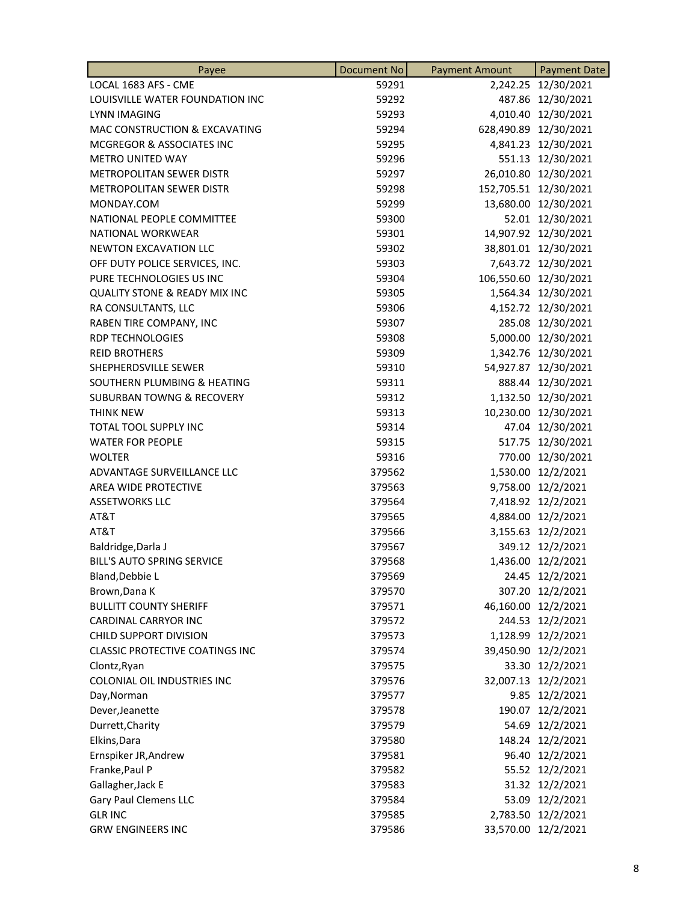| Payee                                    | <b>Document No</b> | <b>Payment Amount</b> | <b>Payment Date</b>   |
|------------------------------------------|--------------------|-----------------------|-----------------------|
| LOCAL 1683 AFS - CME                     | 59291              |                       | 2,242.25 12/30/2021   |
| LOUISVILLE WATER FOUNDATION INC          | 59292              |                       | 487.86 12/30/2021     |
| LYNN IMAGING                             | 59293              |                       | 4,010.40 12/30/2021   |
| MAC CONSTRUCTION & EXCAVATING            | 59294              |                       | 628,490.89 12/30/2021 |
| MCGREGOR & ASSOCIATES INC                | 59295              |                       | 4,841.23 12/30/2021   |
| <b>METRO UNITED WAY</b>                  | 59296              |                       | 551.13 12/30/2021     |
| METROPOLITAN SEWER DISTR                 | 59297              |                       | 26,010.80 12/30/2021  |
| METROPOLITAN SEWER DISTR                 | 59298              |                       | 152,705.51 12/30/2021 |
| MONDAY.COM                               | 59299              |                       | 13,680.00 12/30/2021  |
| NATIONAL PEOPLE COMMITTEE                | 59300              |                       | 52.01 12/30/2021      |
| NATIONAL WORKWEAR                        | 59301              |                       | 14,907.92 12/30/2021  |
| NEWTON EXCAVATION LLC                    | 59302              |                       | 38,801.01 12/30/2021  |
| OFF DUTY POLICE SERVICES, INC.           | 59303              |                       | 7,643.72 12/30/2021   |
| PURE TECHNOLOGIES US INC                 | 59304              |                       | 106,550.60 12/30/2021 |
| <b>QUALITY STONE &amp; READY MIX INC</b> | 59305              |                       | 1,564.34 12/30/2021   |
| RA CONSULTANTS, LLC                      | 59306              |                       | 4,152.72 12/30/2021   |
| RABEN TIRE COMPANY, INC                  | 59307              |                       | 285.08 12/30/2021     |
| <b>RDP TECHNOLOGIES</b>                  | 59308              |                       | 5,000.00 12/30/2021   |
| <b>REID BROTHERS</b>                     | 59309              |                       | 1,342.76 12/30/2021   |
| SHEPHERDSVILLE SEWER                     | 59310              |                       | 54,927.87 12/30/2021  |
| SOUTHERN PLUMBING & HEATING              | 59311              |                       | 888.44 12/30/2021     |
| <b>SUBURBAN TOWNG &amp; RECOVERY</b>     | 59312              |                       | 1,132.50 12/30/2021   |
| <b>THINK NEW</b>                         | 59313              |                       | 10,230.00 12/30/2021  |
| TOTAL TOOL SUPPLY INC                    | 59314              |                       | 47.04 12/30/2021      |
| <b>WATER FOR PEOPLE</b>                  | 59315              |                       | 517.75 12/30/2021     |
| <b>WOLTER</b>                            | 59316              |                       | 770.00 12/30/2021     |
| ADVANTAGE SURVEILLANCE LLC               | 379562             |                       | 1,530.00 12/2/2021    |
| AREA WIDE PROTECTIVE                     | 379563             |                       | 9,758.00 12/2/2021    |
| <b>ASSETWORKS LLC</b>                    | 379564             |                       | 7,418.92 12/2/2021    |
| AT&T                                     | 379565             |                       | 4,884.00 12/2/2021    |
| AT&T                                     | 379566             |                       | 3,155.63 12/2/2021    |
| Baldridge, Darla J                       | 379567             |                       | 349.12 12/2/2021      |
| <b>BILL'S AUTO SPRING SERVICE</b>        | 379568             |                       | 1,436.00 12/2/2021    |
| Bland, Debbie L                          | 379569             |                       | 24.45 12/2/2021       |
| Brown, Dana K                            | 379570             |                       | 307.20 12/2/2021      |
| <b>BULLITT COUNTY SHERIFF</b>            | 379571             |                       | 46,160.00 12/2/2021   |
| CARDINAL CARRYOR INC                     | 379572             |                       | 244.53 12/2/2021      |
| CHILD SUPPORT DIVISION                   | 379573             |                       | 1,128.99 12/2/2021    |
| <b>CLASSIC PROTECTIVE COATINGS INC</b>   | 379574             |                       | 39,450.90 12/2/2021   |
| Clontz, Ryan                             | 379575             |                       | 33.30 12/2/2021       |
| COLONIAL OIL INDUSTRIES INC              | 379576             |                       | 32,007.13 12/2/2021   |
| Day, Norman                              | 379577             |                       | 9.85 12/2/2021        |
| Dever, Jeanette                          | 379578             |                       | 190.07 12/2/2021      |
| Durrett, Charity                         | 379579             |                       | 54.69 12/2/2021       |
| Elkins, Dara                             | 379580             |                       | 148.24 12/2/2021      |
| Ernspiker JR, Andrew                     | 379581             |                       | 96.40 12/2/2021       |
| Franke, Paul P                           | 379582             |                       | 55.52 12/2/2021       |
| Gallagher, Jack E                        | 379583             |                       | 31.32 12/2/2021       |
| <b>Gary Paul Clemens LLC</b>             | 379584             |                       | 53.09 12/2/2021       |
| <b>GLR INC</b>                           | 379585             |                       | 2,783.50 12/2/2021    |
| <b>GRW ENGINEERS INC</b>                 | 379586             |                       | 33,570.00 12/2/2021   |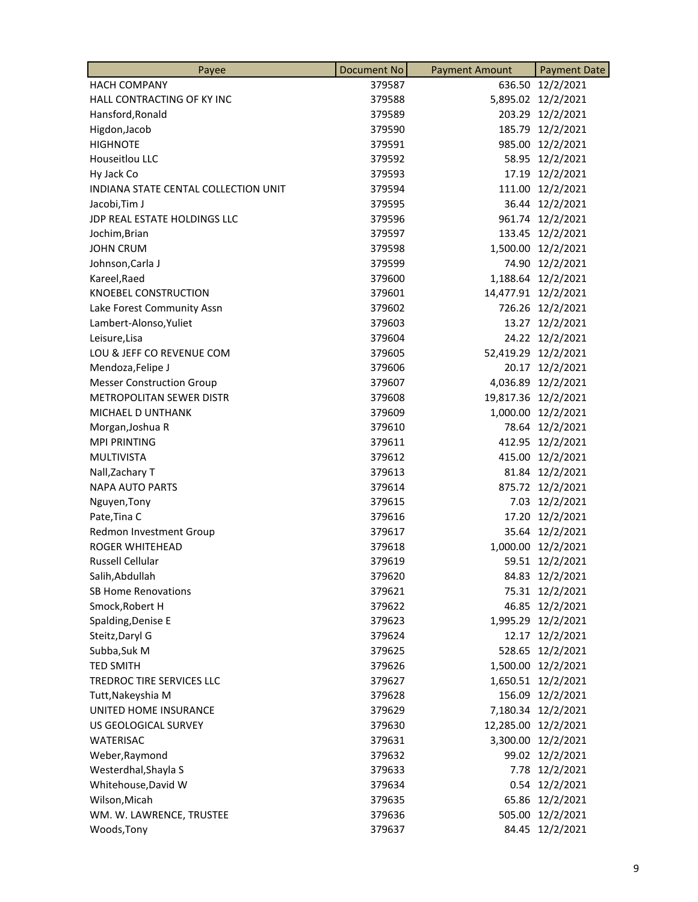| Payee                                | <b>Document No</b> | <b>Payment Amount</b> | <b>Payment Date</b> |
|--------------------------------------|--------------------|-----------------------|---------------------|
| <b>HACH COMPANY</b>                  | 379587             |                       | 636.50 12/2/2021    |
| HALL CONTRACTING OF KY INC           | 379588             |                       | 5,895.02 12/2/2021  |
| Hansford, Ronald                     | 379589             |                       | 203.29 12/2/2021    |
| Higdon, Jacob                        | 379590             |                       | 185.79 12/2/2021    |
| <b>HIGHNOTE</b>                      | 379591             |                       | 985.00 12/2/2021    |
| Houseitlou LLC                       | 379592             |                       | 58.95 12/2/2021     |
| Hy Jack Co                           | 379593             | 17.19                 | 12/2/2021           |
| INDIANA STATE CENTAL COLLECTION UNIT | 379594             |                       | 111.00 12/2/2021    |
| Jacobi, Tim J                        | 379595             |                       | 36.44 12/2/2021     |
| JDP REAL ESTATE HOLDINGS LLC         | 379596             |                       | 961.74 12/2/2021    |
| Jochim, Brian                        | 379597             |                       | 133.45 12/2/2021    |
| <b>JOHN CRUM</b>                     | 379598             |                       | 1,500.00 12/2/2021  |
| Johnson, Carla J                     | 379599             |                       | 74.90 12/2/2021     |
| Kareel, Raed                         | 379600             |                       | 1,188.64 12/2/2021  |
| <b>KNOEBEL CONSTRUCTION</b>          | 379601             |                       | 14,477.91 12/2/2021 |
| Lake Forest Community Assn           | 379602             |                       | 726.26 12/2/2021    |
| Lambert-Alonso, Yuliet               | 379603             |                       | 13.27 12/2/2021     |
| Leisure, Lisa                        | 379604             |                       | 24.22 12/2/2021     |
| LOU & JEFF CO REVENUE COM            | 379605             |                       | 52,419.29 12/2/2021 |
| Mendoza, Felipe J                    | 379606             |                       | 20.17 12/2/2021     |
| <b>Messer Construction Group</b>     | 379607             |                       | 4,036.89 12/2/2021  |
| <b>METROPOLITAN SEWER DISTR</b>      | 379608             |                       | 19,817.36 12/2/2021 |
| <b>MICHAEL D UNTHANK</b>             | 379609             |                       | 1,000.00 12/2/2021  |
| Morgan, Joshua R                     | 379610             |                       | 78.64 12/2/2021     |
| <b>MPI PRINTING</b>                  | 379611             |                       | 412.95 12/2/2021    |
| <b>MULTIVISTA</b>                    | 379612             |                       | 415.00 12/2/2021    |
| Nall, Zachary T                      | 379613             |                       | 81.84 12/2/2021     |
| <b>NAPA AUTO PARTS</b>               | 379614             |                       | 875.72 12/2/2021    |
| Nguyen, Tony                         | 379615             |                       | 7.03 12/2/2021      |
| Pate, Tina C                         | 379616             |                       | 17.20 12/2/2021     |
| Redmon Investment Group              | 379617             |                       | 35.64 12/2/2021     |
| <b>ROGER WHITEHEAD</b>               | 379618             |                       | 1,000.00 12/2/2021  |
| Russell Cellular                     | 379619             |                       | 59.51 12/2/2021     |
| Salih, Abdullah                      | 379620             |                       | 84.83 12/2/2021     |
| <b>SB Home Renovations</b>           | 379621             |                       | 75.31 12/2/2021     |
| Smock, Robert H                      | 379622             |                       | 46.85 12/2/2021     |
| Spalding, Denise E                   | 379623             |                       | 1,995.29 12/2/2021  |
| Steitz, Daryl G                      | 379624             |                       | 12.17 12/2/2021     |
| Subba, Suk M                         | 379625             | 528.65                | 12/2/2021           |
| <b>TED SMITH</b>                     | 379626             |                       | 1,500.00 12/2/2021  |
| TREDROC TIRE SERVICES LLC            | 379627             |                       | 1,650.51 12/2/2021  |
| Tutt, Nakeyshia M                    | 379628             |                       | 156.09 12/2/2021    |
| UNITED HOME INSURANCE                | 379629             |                       | 7,180.34 12/2/2021  |
| US GEOLOGICAL SURVEY                 | 379630             |                       | 12,285.00 12/2/2021 |
| <b>WATERISAC</b>                     | 379631             | 3,300.00              | 12/2/2021           |
| Weber, Raymond                       | 379632             |                       | 99.02 12/2/2021     |
| Westerdhal, Shayla S                 | 379633             | 7.78                  | 12/2/2021           |
| Whitehouse, David W                  | 379634             |                       | 0.54 12/2/2021      |
| Wilson, Micah                        | 379635             | 65.86                 | 12/2/2021           |
| WM. W. LAWRENCE, TRUSTEE             | 379636             | 505.00                | 12/2/2021           |
| Woods, Tony                          | 379637             |                       | 84.45 12/2/2021     |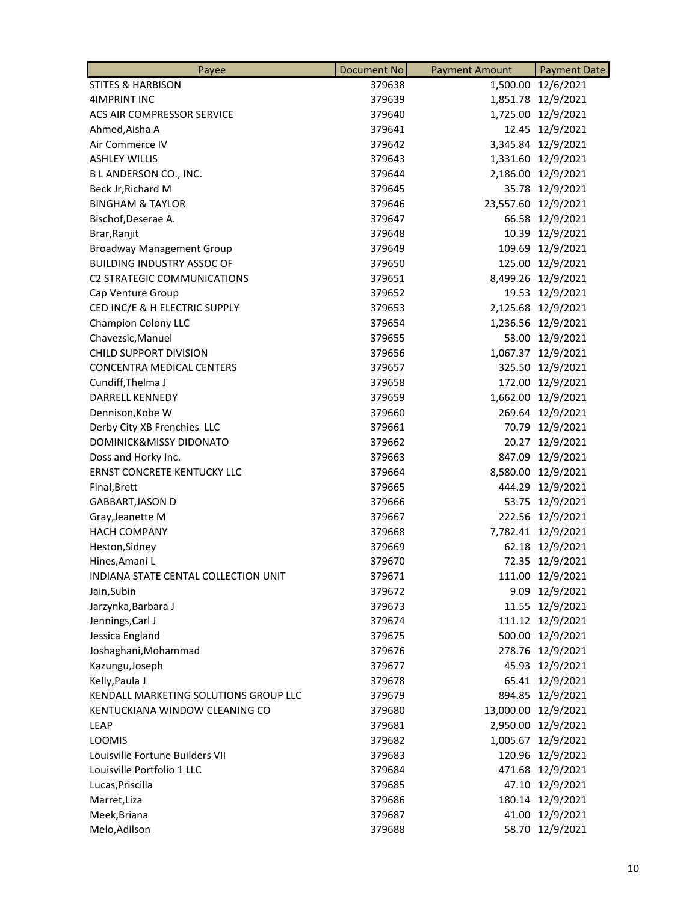| Payee                                 | <b>Document No</b> | <b>Payment Amount</b> | <b>Payment Date</b> |
|---------------------------------------|--------------------|-----------------------|---------------------|
| <b>STITES &amp; HARBISON</b>          | 379638             | 1,500.00              | 12/6/2021           |
| <b>4IMPRINT INC</b>                   | 379639             |                       | 1,851.78 12/9/2021  |
| ACS AIR COMPRESSOR SERVICE            | 379640             |                       | 1,725.00 12/9/2021  |
| Ahmed, Aisha A                        | 379641             |                       | 12.45 12/9/2021     |
| Air Commerce IV                       | 379642             | 3,345.84              | 12/9/2021           |
| <b>ASHLEY WILLIS</b>                  | 379643             | 1,331.60              | 12/9/2021           |
| B L ANDERSON CO., INC.                | 379644             | 2,186.00              | 12/9/2021           |
| Beck Jr, Richard M                    | 379645             |                       | 35.78 12/9/2021     |
| <b>BINGHAM &amp; TAYLOR</b>           | 379646             |                       | 23,557.60 12/9/2021 |
| Bischof, Deserae A.                   | 379647             |                       | 66.58 12/9/2021     |
| Brar, Ranjit                          | 379648             | 10.39                 | 12/9/2021           |
| <b>Broadway Management Group</b>      | 379649             | 109.69                | 12/9/2021           |
| <b>BUILDING INDUSTRY ASSOC OF</b>     | 379650             | 125.00                | 12/9/2021           |
| <b>C2 STRATEGIC COMMUNICATIONS</b>    | 379651             |                       | 8,499.26 12/9/2021  |
| Cap Venture Group                     | 379652             |                       | 19.53 12/9/2021     |
| CED INC/E & H ELECTRIC SUPPLY         | 379653             |                       | 2,125.68 12/9/2021  |
| Champion Colony LLC                   | 379654             | 1,236.56              | 12/9/2021           |
| Chavezsic, Manuel                     | 379655             | 53.00                 | 12/9/2021           |
| CHILD SUPPORT DIVISION                | 379656             |                       | 1,067.37 12/9/2021  |
| <b>CONCENTRA MEDICAL CENTERS</b>      | 379657             |                       | 325.50 12/9/2021    |
| Cundiff, Thelma J                     | 379658             |                       | 172.00 12/9/2021    |
| <b>DARRELL KENNEDY</b>                | 379659             | 1,662.00              | 12/9/2021           |
| Dennison, Kobe W                      | 379660             | 269.64                | 12/9/2021           |
| Derby City XB Frenchies LLC           | 379661             | 70.79                 | 12/9/2021           |
| DOMINICK&MISSY DIDONATO               | 379662             |                       | 20.27 12/9/2021     |
| Doss and Horky Inc.                   | 379663             |                       | 847.09 12/9/2021    |
| <b>ERNST CONCRETE KENTUCKY LLC</b>    | 379664             |                       | 8,580.00 12/9/2021  |
| Final, Brett                          | 379665             | 444.29                | 12/9/2021           |
| <b>GABBART, JASON D</b>               | 379666             | 53.75                 | 12/9/2021           |
| Gray, Jeanette M                      | 379667             |                       | 222.56 12/9/2021    |
| <b>HACH COMPANY</b>                   | 379668             |                       | 7,782.41 12/9/2021  |
| Heston, Sidney                        | 379669             |                       | 62.18 12/9/2021     |
| Hines, Amani L                        | 379670             |                       | 72.35 12/9/2021     |
| INDIANA STATE CENTAL COLLECTION UNIT  | 379671             | 111.00                | 12/9/2021           |
| Jain, Subin                           | 379672             |                       | 9.09 12/9/2021      |
| Jarzynka, Barbara J                   | 379673             |                       | 11.55 12/9/2021     |
| Jennings, Carl J                      | 379674             |                       | 111.12 12/9/2021    |
| Jessica England                       | 379675             |                       | 500.00 12/9/2021    |
| Joshaghani, Mohammad                  | 379676             | 278.76                | 12/9/2021           |
| Kazungu, Joseph                       | 379677             | 45.93                 | 12/9/2021           |
| Kelly, Paula J                        | 379678             |                       | 65.41 12/9/2021     |
| KENDALL MARKETING SOLUTIONS GROUP LLC | 379679             |                       | 894.85 12/9/2021    |
| KENTUCKIANA WINDOW CLEANING CO        | 379680             |                       | 13,000.00 12/9/2021 |
| <b>LEAP</b>                           | 379681             | 2,950.00              | 12/9/2021           |
| <b>LOOMIS</b>                         | 379682             | 1,005.67              | 12/9/2021           |
| Louisville Fortune Builders VII       | 379683             | 120.96                | 12/9/2021           |
| Louisville Portfolio 1 LLC            | 379684             |                       | 471.68 12/9/2021    |
| Lucas, Priscilla                      | 379685             |                       | 47.10 12/9/2021     |
| Marret, Liza                          | 379686             |                       | 180.14 12/9/2021    |
| Meek, Briana                          | 379687             | 41.00                 | 12/9/2021           |
| Melo, Adilson                         | 379688             |                       | 58.70 12/9/2021     |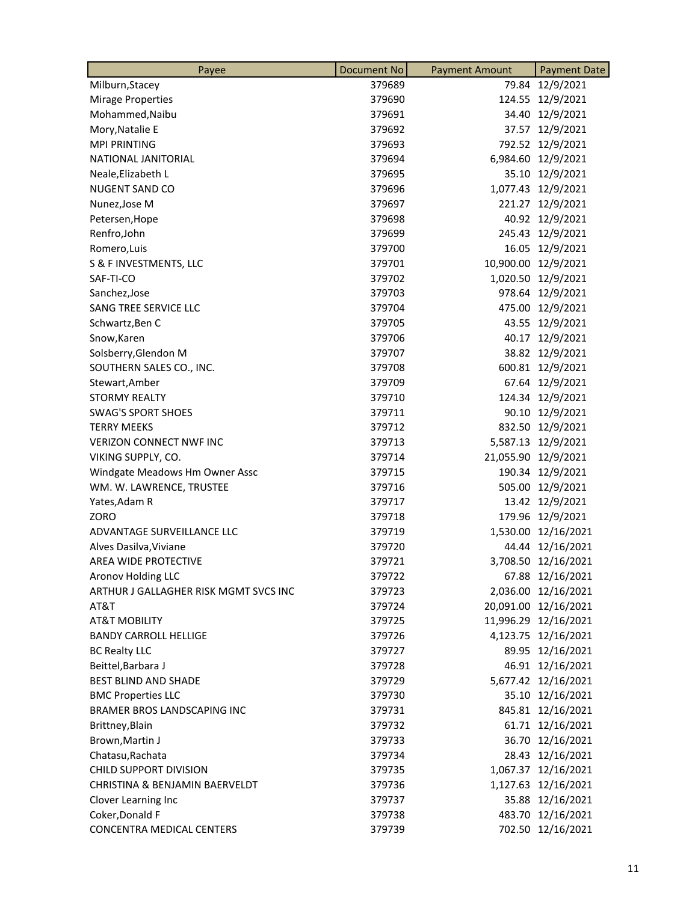| Payee                                 | <b>Document No</b> | <b>Payment Amount</b> | <b>Payment Date</b>  |
|---------------------------------------|--------------------|-----------------------|----------------------|
| Milburn, Stacey                       | 379689             | 79.84                 | 12/9/2021            |
| <b>Mirage Properties</b>              | 379690             |                       | 124.55 12/9/2021     |
| Mohammed, Naibu                       | 379691             |                       | 34.40 12/9/2021      |
| Mory, Natalie E                       | 379692             |                       | 37.57 12/9/2021      |
| <b>MPI PRINTING</b>                   | 379693             |                       | 792.52 12/9/2021     |
| NATIONAL JANITORIAL                   | 379694             |                       | 6,984.60 12/9/2021   |
| Neale, Elizabeth L                    | 379695             | 35.10                 | 12/9/2021            |
| NUGENT SAND CO                        | 379696             |                       | 1,077.43 12/9/2021   |
| Nunez, Jose M                         | 379697             |                       | 221.27 12/9/2021     |
| Petersen, Hope                        | 379698             |                       | 40.92 12/9/2021      |
| Renfro, John                          | 379699             |                       | 245.43 12/9/2021     |
| Romero, Luis                          | 379700             |                       | 16.05 12/9/2021      |
| S & F INVESTMENTS, LLC                | 379701             |                       | 10,900.00 12/9/2021  |
| SAF-TI-CO                             | 379702             |                       | 1,020.50 12/9/2021   |
| Sanchez, Jose                         | 379703             |                       | 978.64 12/9/2021     |
| SANG TREE SERVICE LLC                 | 379704             |                       | 475.00 12/9/2021     |
| Schwartz, Ben C                       | 379705             |                       | 43.55 12/9/2021      |
| Snow, Karen                           | 379706             | 40.17                 | 12/9/2021            |
| Solsberry, Glendon M                  | 379707             |                       | 38.82 12/9/2021      |
| SOUTHERN SALES CO., INC.              | 379708             |                       | 600.81 12/9/2021     |
| Stewart, Amber                        | 379709             |                       | 67.64 12/9/2021      |
| <b>STORMY REALTY</b>                  | 379710             |                       | 124.34 12/9/2021     |
| <b>SWAG'S SPORT SHOES</b>             | 379711             |                       | 90.10 12/9/2021      |
| <b>TERRY MEEKS</b>                    | 379712             |                       | 832.50 12/9/2021     |
| <b>VERIZON CONNECT NWF INC</b>        | 379713             |                       | 5,587.13 12/9/2021   |
| VIKING SUPPLY, CO.                    | 379714             |                       | 21,055.90 12/9/2021  |
| Windgate Meadows Hm Owner Assc        | 379715             |                       | 190.34 12/9/2021     |
| WM. W. LAWRENCE, TRUSTEE              | 379716             |                       | 505.00 12/9/2021     |
| Yates, Adam R                         | 379717             |                       | 13.42 12/9/2021      |
| ZORO                                  | 379718             |                       | 179.96 12/9/2021     |
| ADVANTAGE SURVEILLANCE LLC            | 379719             |                       | 1,530.00 12/16/2021  |
| Alves Dasilva, Viviane                | 379720             |                       | 44.44 12/16/2021     |
| AREA WIDE PROTECTIVE                  | 379721             |                       | 3,708.50 12/16/2021  |
| <b>Aronov Holding LLC</b>             | 379722             |                       | 67.88 12/16/2021     |
| ARTHUR J GALLAGHER RISK MGMT SVCS INC | 379723             |                       | 2,036.00 12/16/2021  |
| AT&T                                  | 379724             |                       | 20,091.00 12/16/2021 |
| <b>AT&amp;T MOBILITY</b>              | 379725             |                       | 11,996.29 12/16/2021 |
| <b>BANDY CARROLL HELLIGE</b>          | 379726             |                       | 4,123.75 12/16/2021  |
| <b>BC Realty LLC</b>                  | 379727             |                       | 89.95 12/16/2021     |
| Beittel, Barbara J                    | 379728             |                       | 46.91 12/16/2021     |
| <b>BEST BLIND AND SHADE</b>           | 379729             |                       | 5,677.42 12/16/2021  |
| <b>BMC Properties LLC</b>             | 379730             |                       | 35.10 12/16/2021     |
| BRAMER BROS LANDSCAPING INC           | 379731             |                       | 845.81 12/16/2021    |
| Brittney, Blain                       | 379732             |                       | 61.71 12/16/2021     |
| Brown, Martin J                       | 379733             |                       | 36.70 12/16/2021     |
| Chatasu, Rachata                      | 379734             |                       | 28.43 12/16/2021     |
| CHILD SUPPORT DIVISION                | 379735             |                       | 1,067.37 12/16/2021  |
| CHRISTINA & BENJAMIN BAERVELDT        | 379736             |                       | 1,127.63 12/16/2021  |
| Clover Learning Inc                   | 379737             |                       | 35.88 12/16/2021     |
| Coker, Donald F                       | 379738             |                       | 483.70 12/16/2021    |
| <b>CONCENTRA MEDICAL CENTERS</b>      | 379739             |                       | 702.50 12/16/2021    |
|                                       |                    |                       |                      |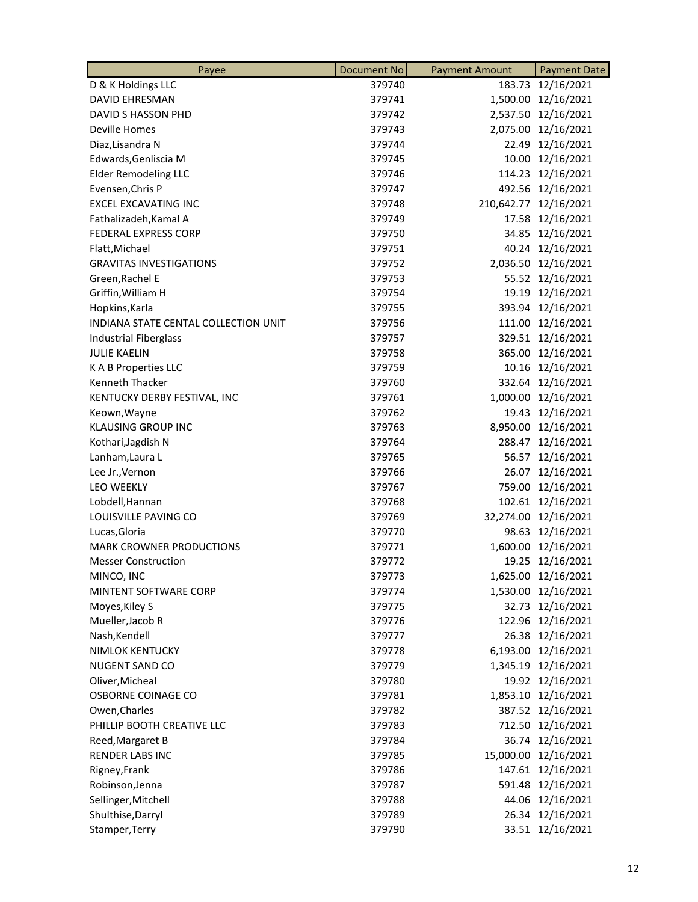| Payee                                | <b>Document No</b> | <b>Payment Amount</b> | <b>Payment Date</b>   |
|--------------------------------------|--------------------|-----------------------|-----------------------|
| D & K Holdings LLC                   | 379740             |                       | 183.73 12/16/2021     |
| <b>DAVID EHRESMAN</b>                | 379741             |                       | 1,500.00 12/16/2021   |
| DAVID S HASSON PHD                   | 379742             |                       | 2,537.50 12/16/2021   |
| <b>Deville Homes</b>                 | 379743             |                       | 2,075.00 12/16/2021   |
| Diaz, Lisandra N                     | 379744             |                       | 22.49 12/16/2021      |
| Edwards, Genliscia M                 | 379745             |                       | 10.00 12/16/2021      |
| <b>Elder Remodeling LLC</b>          | 379746             |                       | 114.23 12/16/2021     |
| Evensen, Chris P                     | 379747             |                       | 492.56 12/16/2021     |
| <b>EXCEL EXCAVATING INC</b>          | 379748             |                       | 210,642.77 12/16/2021 |
| Fathalizadeh, Kamal A                | 379749             |                       | 17.58 12/16/2021      |
| <b>FEDERAL EXPRESS CORP</b>          | 379750             |                       | 34.85 12/16/2021      |
| Flatt, Michael                       | 379751             |                       | 40.24 12/16/2021      |
| <b>GRAVITAS INVESTIGATIONS</b>       | 379752             |                       | 2,036.50 12/16/2021   |
| Green, Rachel E                      | 379753             |                       | 55.52 12/16/2021      |
| Griffin, William H                   | 379754             |                       | 19.19 12/16/2021      |
| Hopkins, Karla                       | 379755             |                       | 393.94 12/16/2021     |
| INDIANA STATE CENTAL COLLECTION UNIT | 379756             |                       | 111.00 12/16/2021     |
| Industrial Fiberglass                | 379757             |                       | 329.51 12/16/2021     |
| <b>JULIE KAELIN</b>                  | 379758             |                       | 365.00 12/16/2021     |
| K A B Properties LLC                 | 379759             |                       | 10.16 12/16/2021      |
| <b>Kenneth Thacker</b>               | 379760             |                       | 332.64 12/16/2021     |
| KENTUCKY DERBY FESTIVAL, INC         | 379761             |                       | 1,000.00 12/16/2021   |
| Keown, Wayne                         | 379762             |                       | 19.43 12/16/2021      |
| <b>KLAUSING GROUP INC</b>            | 379763             |                       | 8,950.00 12/16/2021   |
| Kothari, Jagdish N                   | 379764             |                       | 288.47 12/16/2021     |
| Lanham, Laura L                      | 379765             |                       | 56.57 12/16/2021      |
| Lee Jr., Vernon                      | 379766             |                       | 26.07 12/16/2021      |
| <b>LEO WEEKLY</b>                    | 379767             |                       | 759.00 12/16/2021     |
| Lobdell, Hannan                      | 379768             |                       | 102.61 12/16/2021     |
| LOUISVILLE PAVING CO                 | 379769             |                       | 32,274.00 12/16/2021  |
| Lucas, Gloria                        | 379770             | 98.63                 | 12/16/2021            |
| <b>MARK CROWNER PRODUCTIONS</b>      | 379771             |                       | 1,600.00 12/16/2021   |
| <b>Messer Construction</b>           | 379772             |                       | 19.25 12/16/2021      |
| MINCO, INC                           | 379773             |                       | 1,625.00 12/16/2021   |
| MINTENT SOFTWARE CORP                | 379774             |                       | 1,530.00 12/16/2021   |
| Moyes, Kiley S                       | 379775             | 32.73                 | 12/16/2021            |
| Mueller, Jacob R                     | 379776             |                       | 122.96 12/16/2021     |
| Nash, Kendell                        | 379777             |                       | 26.38 12/16/2021      |
| <b>NIMLOK KENTUCKY</b>               | 379778             |                       | 6,193.00 12/16/2021   |
| NUGENT SAND CO                       | 379779             |                       | 1,345.19 12/16/2021   |
| Oliver, Micheal                      | 379780             |                       | 19.92 12/16/2021      |
| OSBORNE COINAGE CO                   | 379781             |                       | 1,853.10 12/16/2021   |
| Owen, Charles                        | 379782             |                       | 387.52 12/16/2021     |
| PHILLIP BOOTH CREATIVE LLC           | 379783             |                       | 712.50 12/16/2021     |
| Reed, Margaret B                     | 379784             |                       | 36.74 12/16/2021      |
| <b>RENDER LABS INC</b>               | 379785             |                       | 15,000.00 12/16/2021  |
| Rigney, Frank                        | 379786             |                       | 147.61 12/16/2021     |
| Robinson, Jenna                      | 379787             | 591.48                | 12/16/2021            |
| Sellinger, Mitchell                  | 379788             |                       | 44.06 12/16/2021      |
| Shulthise, Darryl                    | 379789             |                       | 26.34 12/16/2021      |
| Stamper, Terry                       | 379790             |                       | 33.51 12/16/2021      |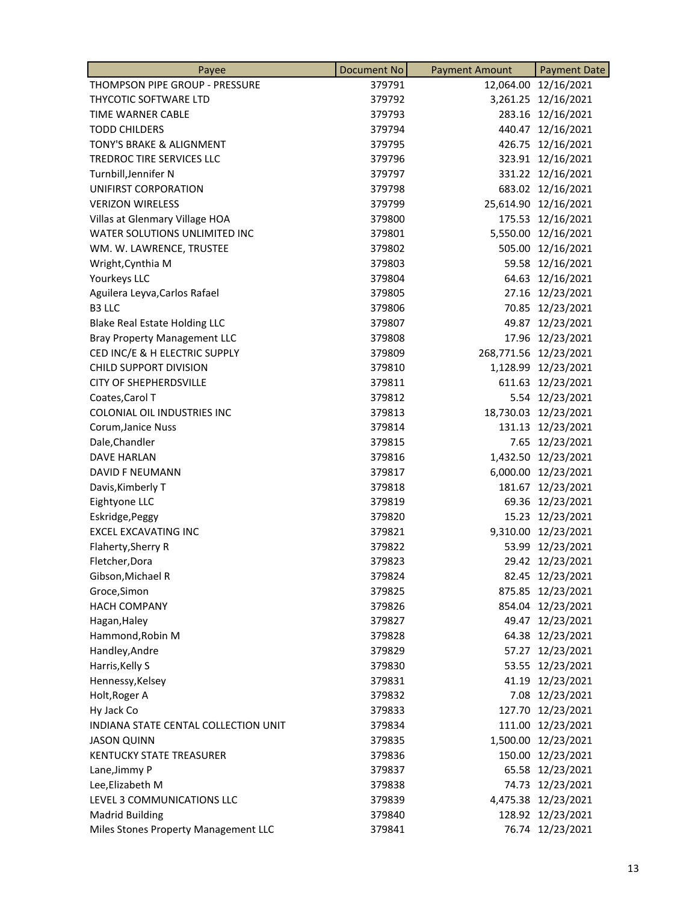| Payee                                | Document No | <b>Payment Amount</b> | <b>Payment Date</b>   |
|--------------------------------------|-------------|-----------------------|-----------------------|
| THOMPSON PIPE GROUP - PRESSURE       | 379791      |                       | 12,064.00 12/16/2021  |
| THYCOTIC SOFTWARE LTD                | 379792      |                       | 3,261.25 12/16/2021   |
| TIME WARNER CABLE                    | 379793      |                       | 283.16 12/16/2021     |
| <b>TODD CHILDERS</b>                 | 379794      |                       | 440.47 12/16/2021     |
| TONY'S BRAKE & ALIGNMENT             | 379795      |                       | 426.75 12/16/2021     |
| TREDROC TIRE SERVICES LLC            | 379796      |                       | 323.91 12/16/2021     |
| Turnbill, Jennifer N                 | 379797      |                       | 331.22 12/16/2021     |
| UNIFIRST CORPORATION                 | 379798      |                       | 683.02 12/16/2021     |
| <b>VERIZON WIRELESS</b>              | 379799      |                       | 25,614.90 12/16/2021  |
| Villas at Glenmary Village HOA       | 379800      |                       | 175.53 12/16/2021     |
| WATER SOLUTIONS UNLIMITED INC        | 379801      |                       | 5,550.00 12/16/2021   |
| WM. W. LAWRENCE, TRUSTEE             | 379802      | 505.00                | 12/16/2021            |
| Wright, Cynthia M                    | 379803      |                       | 59.58 12/16/2021      |
| Yourkeys LLC                         | 379804      |                       | 64.63 12/16/2021      |
| Aguilera Leyva, Carlos Rafael        | 379805      |                       | 27.16 12/23/2021      |
| B3 LLC                               | 379806      |                       | 70.85 12/23/2021      |
| <b>Blake Real Estate Holding LLC</b> | 379807      | 49.87                 | 12/23/2021            |
| <b>Bray Property Management LLC</b>  | 379808      | 17.96                 | 12/23/2021            |
| CED INC/E & H ELECTRIC SUPPLY        | 379809      |                       | 268,771.56 12/23/2021 |
| <b>CHILD SUPPORT DIVISION</b>        | 379810      |                       | 1,128.99 12/23/2021   |
| <b>CITY OF SHEPHERDSVILLE</b>        | 379811      |                       | 611.63 12/23/2021     |
| Coates, Carol T                      | 379812      |                       | 5.54 12/23/2021       |
| COLONIAL OIL INDUSTRIES INC          | 379813      |                       | 18,730.03 12/23/2021  |
| Corum, Janice Nuss                   | 379814      |                       | 131.13 12/23/2021     |
| Dale, Chandler                       | 379815      |                       | 7.65 12/23/2021       |
| <b>DAVE HARLAN</b>                   | 379816      |                       | 1,432.50 12/23/2021   |
| DAVID F NEUMANN                      | 379817      |                       | 6,000.00 12/23/2021   |
| Davis, Kimberly T                    | 379818      | 181.67                | 12/23/2021            |
| Eightyone LLC                        | 379819      | 69.36                 | 12/23/2021            |
| Eskridge, Peggy                      | 379820      |                       | 15.23 12/23/2021      |
| <b>EXCEL EXCAVATING INC</b>          | 379821      |                       | 9,310.00 12/23/2021   |
| Flaherty, Sherry R                   | 379822      |                       | 53.99 12/23/2021      |
| Fletcher, Dora                       | 379823      |                       | 29.42 12/23/2021      |
| Gibson, Michael R                    | 379824      |                       | 82.45 12/23/2021      |
| Groce, Simon                         | 379825      |                       | 875.85 12/23/2021     |
| <b>HACH COMPANY</b>                  | 379826      |                       | 854.04 12/23/2021     |
| Hagan, Haley                         | 379827      |                       | 49.47 12/23/2021      |
| Hammond, Robin M                     | 379828      |                       | 64.38 12/23/2021      |
| Handley, Andre                       | 379829      | 57.27                 | 12/23/2021            |
| Harris, Kelly S                      | 379830      | 53.55                 | 12/23/2021            |
| Hennessy, Kelsey                     | 379831      |                       | 41.19 12/23/2021      |
| Holt, Roger A                        | 379832      |                       | 7.08 12/23/2021       |
| Hy Jack Co                           | 379833      |                       | 127.70 12/23/2021     |
| INDIANA STATE CENTAL COLLECTION UNIT | 379834      |                       | 111.00 12/23/2021     |
| <b>JASON QUINN</b>                   | 379835      | 1,500.00              | 12/23/2021            |
| <b>KENTUCKY STATE TREASURER</b>      | 379836      | 150.00                | 12/23/2021            |
| Lane, Jimmy P                        | 379837      |                       | 65.58 12/23/2021      |
| Lee, Elizabeth M                     | 379838      |                       | 74.73 12/23/2021      |
| LEVEL 3 COMMUNICATIONS LLC           | 379839      |                       | 4,475.38 12/23/2021   |
| <b>Madrid Building</b>               | 379840      |                       | 128.92 12/23/2021     |
| Miles Stones Property Management LLC | 379841      |                       | 76.74 12/23/2021      |
|                                      |             |                       |                       |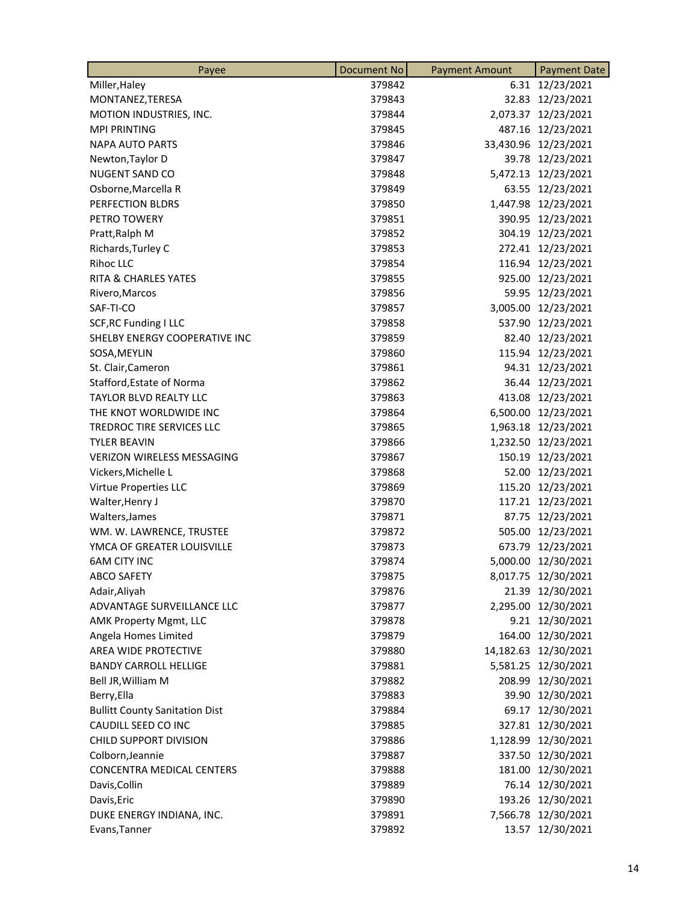| Miller, Haley<br>379842                         |          |                      |
|-------------------------------------------------|----------|----------------------|
|                                                 |          | 6.31 12/23/2021      |
| 379843<br>MONTANEZ, TERESA                      |          | 32.83 12/23/2021     |
| MOTION INDUSTRIES, INC.<br>379844               |          | 2,073.37 12/23/2021  |
| <b>MPI PRINTING</b><br>379845                   |          | 487.16 12/23/2021    |
| <b>NAPA AUTO PARTS</b><br>379846                |          | 33,430.96 12/23/2021 |
| Newton, Taylor D<br>379847                      |          | 39.78 12/23/2021     |
| NUGENT SAND CO<br>379848                        |          | 5,472.13 12/23/2021  |
| Osborne, Marcella R<br>379849                   |          | 63.55 12/23/2021     |
| PERFECTION BLDRS<br>379850                      |          | 1,447.98 12/23/2021  |
| PETRO TOWERY<br>379851                          |          | 390.95 12/23/2021    |
| Pratt, Ralph M<br>379852                        |          | 304.19 12/23/2021    |
| Richards, Turley C<br>379853                    |          | 272.41 12/23/2021    |
| Rihoc LLC<br>379854                             |          | 116.94 12/23/2021    |
| RITA & CHARLES YATES<br>379855                  |          | 925.00 12/23/2021    |
| 379856<br>Rivero, Marcos                        |          | 59.95 12/23/2021     |
| SAF-TI-CO<br>379857                             |          | 3,005.00 12/23/2021  |
| <b>SCF, RC Funding I LLC</b><br>379858          |          | 537.90 12/23/2021    |
| SHELBY ENERGY COOPERATIVE INC<br>379859         |          | 82.40 12/23/2021     |
| 379860<br>SOSA, MEYLIN                          |          | 115.94 12/23/2021    |
| St. Clair, Cameron<br>379861                    |          | 94.31 12/23/2021     |
| Stafford, Estate of Norma<br>379862             |          | 36.44 12/23/2021     |
| <b>TAYLOR BLVD REALTY LLC</b><br>379863         |          | 413.08 12/23/2021    |
| THE KNOT WORLDWIDE INC<br>379864                |          | 6,500.00 12/23/2021  |
| TREDROC TIRE SERVICES LLC<br>379865             |          | 1,963.18 12/23/2021  |
| TYLER BEAVIN<br>379866                          |          | 1,232.50 12/23/2021  |
| <b>VERIZON WIRELESS MESSAGING</b><br>379867     |          | 150.19 12/23/2021    |
| Vickers, Michelle L<br>379868                   |          | 52.00 12/23/2021     |
| Virtue Properties LLC<br>379869                 |          | 115.20 12/23/2021    |
| 379870<br>Walter, Henry J                       |          | 117.21 12/23/2021    |
| 379871<br>Walters, James                        |          | 87.75 12/23/2021     |
| WM. W. LAWRENCE, TRUSTEE<br>379872              |          | 505.00 12/23/2021    |
| YMCA OF GREATER LOUISVILLE<br>379873            |          | 673.79 12/23/2021    |
| <b>6AM CITY INC</b><br>379874                   |          | 5,000.00 12/30/2021  |
| <b>ABCO SAFETY</b><br>379875                    |          | 8,017.75 12/30/2021  |
| Adair, Aliyah<br>379876                         |          | 21.39 12/30/2021     |
| ADVANTAGE SURVEILLANCE LLC<br>379877            |          | 2,295.00 12/30/2021  |
| AMK Property Mgmt, LLC<br>379878                |          | 9.21 12/30/2021      |
| Angela Homes Limited<br>379879                  |          | 164.00 12/30/2021    |
| AREA WIDE PROTECTIVE<br>379880                  |          | 14,182.63 12/30/2021 |
| <b>BANDY CARROLL HELLIGE</b><br>379881          |          | 5,581.25 12/30/2021  |
| Bell JR, William M<br>379882                    |          | 208.99 12/30/2021    |
| Berry, Ella<br>379883                           |          | 39.90 12/30/2021     |
| <b>Bullitt County Sanitation Dist</b><br>379884 |          | 69.17 12/30/2021     |
| CAUDILL SEED CO INC<br>379885                   |          | 327.81 12/30/2021    |
| CHILD SUPPORT DIVISION<br>379886                | 1,128.99 | 12/30/2021           |
| Colborn, Jeannie<br>379887                      |          | 337.50 12/30/2021    |
| <b>CONCENTRA MEDICAL CENTERS</b><br>379888      |          | 181.00 12/30/2021    |
| Davis, Collin<br>379889                         |          | 76.14 12/30/2021     |
| Davis, Eric<br>379890                           |          | 193.26 12/30/2021    |
| DUKE ENERGY INDIANA, INC.<br>379891             |          | 7,566.78 12/30/2021  |
| 379892<br>Evans, Tanner                         | 13.57    | 12/30/2021           |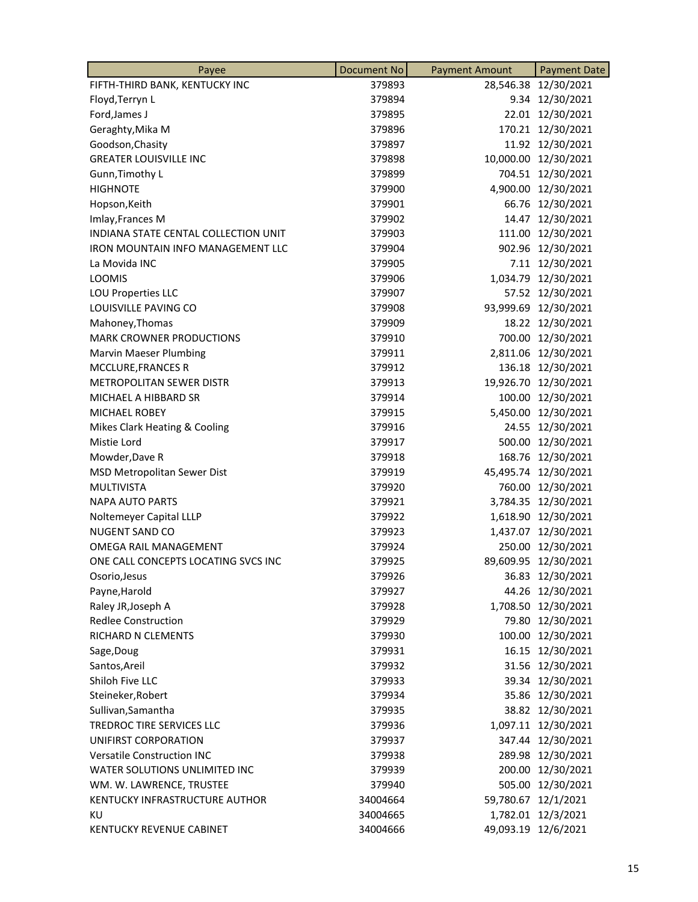| Payee                                | Document No | <b>Payment Amount</b> | <b>Payment Date</b>  |
|--------------------------------------|-------------|-----------------------|----------------------|
| FIFTH-THIRD BANK, KENTUCKY INC       | 379893      |                       | 28,546.38 12/30/2021 |
| Floyd, Terryn L                      | 379894      |                       | 9.34 12/30/2021      |
| Ford, James J                        | 379895      |                       | 22.01 12/30/2021     |
| Geraghty, Mika M                     | 379896      |                       | 170.21 12/30/2021    |
| Goodson, Chasity                     | 379897      |                       | 11.92 12/30/2021     |
| <b>GREATER LOUISVILLE INC</b>        | 379898      |                       | 10,000.00 12/30/2021 |
| Gunn, Timothy L                      | 379899      | 704.51                | 12/30/2021           |
| <b>HIGHNOTE</b>                      | 379900      |                       | 4,900.00 12/30/2021  |
| Hopson, Keith                        | 379901      |                       | 66.76 12/30/2021     |
| Imlay, Frances M                     | 379902      |                       | 14.47 12/30/2021     |
| INDIANA STATE CENTAL COLLECTION UNIT | 379903      | 111.00                | 12/30/2021           |
| IRON MOUNTAIN INFO MANAGEMENT LLC    | 379904      | 902.96                | 12/30/2021           |
| La Movida INC                        | 379905      |                       | 7.11 12/30/2021      |
| <b>LOOMIS</b>                        | 379906      |                       | 1,034.79 12/30/2021  |
| LOU Properties LLC                   | 379907      |                       | 57.52 12/30/2021     |
| LOUISVILLE PAVING CO                 | 379908      |                       | 93,999.69 12/30/2021 |
| Mahoney, Thomas                      | 379909      |                       | 18.22 12/30/2021     |
| <b>MARK CROWNER PRODUCTIONS</b>      | 379910      | 700.00                | 12/30/2021           |
| <b>Marvin Maeser Plumbing</b>        | 379911      |                       | 2,811.06 12/30/2021  |
| MCCLURE, FRANCES R                   | 379912      |                       | 136.18 12/30/2021    |
| <b>METROPOLITAN SEWER DISTR</b>      | 379913      |                       | 19,926.70 12/30/2021 |
| MICHAEL A HIBBARD SR                 | 379914      | 100.00                | 12/30/2021           |
| <b>MICHAEL ROBEY</b>                 | 379915      | 5,450.00              | 12/30/2021           |
| Mikes Clark Heating & Cooling        | 379916      |                       | 24.55 12/30/2021     |
| Mistie Lord                          | 379917      |                       | 500.00 12/30/2021    |
| Mowder, Dave R                       | 379918      | 168.76                | 12/30/2021           |
| MSD Metropolitan Sewer Dist          | 379919      |                       | 45,495.74 12/30/2021 |
| <b>MULTIVISTA</b>                    | 379920      | 760.00                | 12/30/2021           |
| <b>NAPA AUTO PARTS</b>               | 379921      | 3,784.35              | 12/30/2021           |
| Noltemeyer Capital LLLP              | 379922      |                       | 1,618.90 12/30/2021  |
| NUGENT SAND CO                       | 379923      |                       | 1,437.07 12/30/2021  |
| <b>OMEGA RAIL MANAGEMENT</b>         | 379924      | 250.00                | 12/30/2021           |
| ONE CALL CONCEPTS LOCATING SVCS INC  | 379925      |                       | 89,609.95 12/30/2021 |
| Osorio, Jesus                        | 379926      |                       | 36.83 12/30/2021     |
| Payne, Harold                        | 379927      |                       | 44.26 12/30/2021     |
| Raley JR, Joseph A                   | 379928      |                       | 1,708.50 12/30/2021  |
| <b>Redlee Construction</b>           | 379929      |                       | 79.80 12/30/2021     |
| RICHARD N CLEMENTS                   | 379930      |                       | 100.00 12/30/2021    |
| Sage, Doug                           | 379931      |                       | 16.15 12/30/2021     |
| Santos, Areil                        | 379932      |                       | 31.56 12/30/2021     |
| Shiloh Five LLC                      | 379933      |                       | 39.34 12/30/2021     |
| Steineker, Robert                    | 379934      |                       | 35.86 12/30/2021     |
| Sullivan, Samantha                   | 379935      |                       | 38.82 12/30/2021     |
| TREDROC TIRE SERVICES LLC            | 379936      |                       | 1,097.11 12/30/2021  |
| UNIFIRST CORPORATION                 | 379937      |                       | 347.44 12/30/2021    |
| <b>Versatile Construction INC</b>    | 379938      |                       | 289.98 12/30/2021    |
| WATER SOLUTIONS UNLIMITED INC        | 379939      | 200.00                | 12/30/2021           |
| WM. W. LAWRENCE, TRUSTEE             | 379940      |                       | 505.00 12/30/2021    |
| KENTUCKY INFRASTRUCTURE AUTHOR       | 34004664    |                       | 59,780.67 12/1/2021  |
| ΚU                                   | 34004665    |                       | 1,782.01 12/3/2021   |
| <b>KENTUCKY REVENUE CABINET</b>      | 34004666    |                       | 49,093.19 12/6/2021  |
|                                      |             |                       |                      |